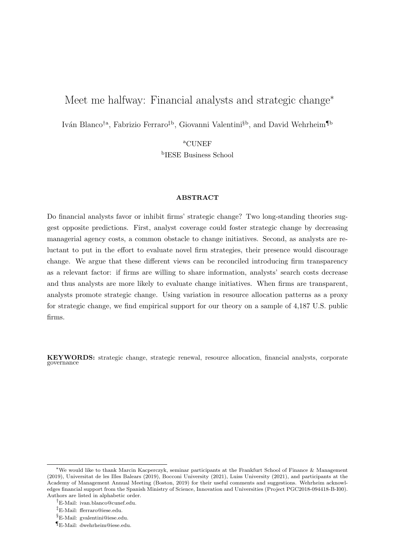# Meet me halfway: Financial analysts and strategic change<sup>∗</sup>

Iván Blanco<sup>†a</sup>, Fabrizio Ferraro<sup>‡b</sup>, Giovanni Valentini<sup>§b</sup>, and David Wehrheim<sup>¶b</sup>

<sup>a</sup>CUNEF b IESE Business School

#### ABSTRACT

Do financial analysts favor or inhibit firms' strategic change? Two long-standing theories suggest opposite predictions. First, analyst coverage could foster strategic change by decreasing managerial agency costs, a common obstacle to change initiatives. Second, as analysts are reluctant to put in the effort to evaluate novel firm strategies, their presence would discourage change. We argue that these different views can be reconciled introducing firm transparency as a relevant factor: if firms are willing to share information, analysts' search costs decrease and thus analysts are more likely to evaluate change initiatives. When firms are transparent, analysts promote strategic change. Using variation in resource allocation patterns as a proxy for strategic change, we find empirical support for our theory on a sample of 4,187 U.S. public firms.

KEYWORDS: strategic change, strategic renewal, resource allocation, financial analysts, corporate governance

<sup>∗</sup>We would like to thank Marcin Kacperczyk, seminar participants at the Frankfurt School of Finance & Management (2019), Universitat de les Illes Balears (2019), Bocconi University (2021), Luiss University (2021), and participants at the Academy of Management Annual Meeting (Boston, 2019) for their useful comments and suggestions. Wehrheim acknowledges financial support from the Spanish Ministry of Science, Innovation and Universities (Project PGC2018-094418-B-I00). Authors are listed in alphabetic order.

<sup>†</sup>E-Mail: ivan.blanco@cunef.edu.

<sup>‡</sup>E-Mail: fferraro@iese.edu.

 $E-Mail:$  gvalentini@iese.edu.

<sup>¶</sup>E-Mail: dwehrheim@iese.edu.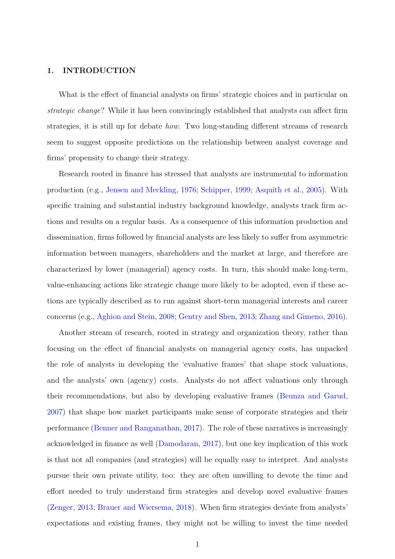## 1. INTRODUCTION

What is the effect of financial analysts on firms' strategic choices and in particular on strategic change? While it has been convincingly established that analysts can affect firm strategies, it is still up for debate how. Two long-standing different streams of research seem to suggest opposite predictions on the relationship between analyst coverage and firms' propensity to change their strategy.

Research rooted in finance has stressed that analysts are instrumental to information production (e.g., [Jensen and Meckling,](#page-33-0) [1976;](#page-33-0) [Schipper,](#page-34-0) [1999;](#page-34-0) [Asquith et al.,](#page-32-0) [2005\)](#page-32-0). With specific training and substantial industry background knowledge, analysts track firm actions and results on a regular basis. As a consequence of this information production and dissemination, firms followed by financial analysts are less likely to suffer from asymmetric information between managers, shareholders and the market at large, and therefore are characterized by lower (managerial) agency costs. In turn, this should make long-term, value-enhancing actions like strategic change more likely to be adopted, even if these actions are typically described as to run against short-term managerial interests and career concerns (e.g., [Aghion and Stein,](#page-32-1) [2008;](#page-32-1) [Gentry and Shen,](#page-33-1) [2013;](#page-33-1) [Zhang and Gimeno,](#page-34-1) [2016\)](#page-34-1).

Another stream of research, rooted in strategy and organization theory, rather than focusing on the effect of financial analysts on managerial agency costs, has unpacked the role of analysts in developing the 'evaluative frames' that shape stock valuations, and the analysts' own (agency) costs. Analysts do not affect valuations only through their recommendations, but also by developing evaluative frames [\(Beunza and Garud,](#page-32-2) [2007\)](#page-32-2) that shape how market participants make sense of corporate strategies and their performance [\(Benner and Ranganathan,](#page-32-3) [2017\)](#page-32-3). The role of these narratives is increasingly acknowledged in finance as well [\(Damodaran,](#page-32-4) [2017\)](#page-32-4), but one key implication of this work is that not all companies (and strategies) will be equally easy to interpret. And analysts pursue their own private utility, too: they are often unwilling to devote the time and effort needed to truly understand firm strategies and develop novel evaluative frames [\(Zenger,](#page-34-2) [2013;](#page-34-2) [Brauer and Wiersema,](#page-32-5) [2018\)](#page-32-5). When firm strategies deviate from analysts' expectations and existing frames, they might not be willing to invest the time needed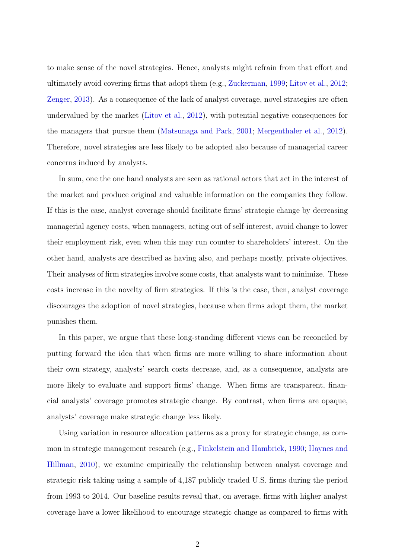to make sense of the novel strategies. Hence, analysts might refrain from that effort and ultimately avoid covering firms that adopt them (e.g., [Zuckerman,](#page-34-3) [1999;](#page-34-3) [Litov et al.,](#page-33-2) [2012;](#page-33-2) [Zenger,](#page-34-2) [2013\)](#page-34-2). As a consequence of the lack of analyst coverage, novel strategies are often undervalued by the market [\(Litov et al.,](#page-33-2) [2012\)](#page-33-2), with potential negative consequences for the managers that pursue them [\(Matsunaga and Park,](#page-34-4) [2001;](#page-34-4) [Mergenthaler et al.,](#page-34-5) [2012\)](#page-34-5). Therefore, novel strategies are less likely to be adopted also because of managerial career concerns induced by analysts.

In sum, one the one hand analysts are seen as rational actors that act in the interest of the market and produce original and valuable information on the companies they follow. If this is the case, analyst coverage should facilitate firms' strategic change by decreasing managerial agency costs, when managers, acting out of self-interest, avoid change to lower their employment risk, even when this may run counter to shareholders' interest. On the other hand, analysts are described as having also, and perhaps mostly, private objectives. Their analyses of firm strategies involve some costs, that analysts want to minimize. These costs increase in the novelty of firm strategies. If this is the case, then, analyst coverage discourages the adoption of novel strategies, because when firms adopt them, the market punishes them.

In this paper, we argue that these long-standing different views can be reconciled by putting forward the idea that when firms are more willing to share information about their own strategy, analysts' search costs decrease, and, as a consequence, analysts are more likely to evaluate and support firms' change. When firms are transparent, financial analysts' coverage promotes strategic change. By contrast, when firms are opaque, analysts' coverage make strategic change less likely.

Using variation in resource allocation patterns as a proxy for strategic change, as common in strategic management research (e.g., [Finkelstein and Hambrick,](#page-33-3) [1990;](#page-33-3) [Haynes and](#page-33-4) [Hillman,](#page-33-4) [2010\)](#page-33-4), we examine empirically the relationship between analyst coverage and strategic risk taking using a sample of 4,187 publicly traded U.S. firms during the period from 1993 to 2014. Our baseline results reveal that, on average, firms with higher analyst coverage have a lower likelihood to encourage strategic change as compared to firms with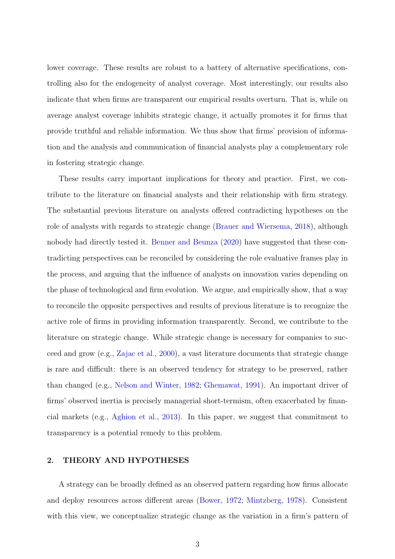lower coverage. These results are robust to a battery of alternative specifications, controlling also for the endogeneity of analyst coverage. Most interestingly, our results also indicate that when firms are transparent our empirical results overturn. That is, while on average analyst coverage inhibits strategic change, it actually promotes it for firms that provide truthful and reliable information. We thus show that firms' provision of information and the analysis and communication of financial analysts play a complementary role in fostering strategic change.

These results carry important implications for theory and practice. First, we contribute to the literature on financial analysts and their relationship with firm strategy. The substantial previous literature on analysts offered contradicting hypotheses on the role of analysts with regards to strategic change [\(Brauer and Wiersema,](#page-32-5) [2018\)](#page-32-5), although nobody had directly tested it. [Benner and Beunza](#page-32-6) [\(2020\)](#page-32-6) have suggested that these contradicting perspectives can be reconciled by considering the role evaluative frames play in the process, and arguing that the influence of analysts on innovation varies depending on the phase of technological and firm evolution. We argue, and empirically show, that a way to reconcile the opposite perspectives and results of previous literature is to recognize the active role of firms in providing information transparently. Second, we contribute to the literature on strategic change. While strategic change is necessary for companies to succeed and grow (e.g., [Zajac et al.,](#page-34-6) [2000\)](#page-34-6), a vast literature documents that strategic change is rare and difficult: there is an observed tendency for strategy to be preserved, rather than changed (e.g., [Nelson and Winter,](#page-34-7) [1982;](#page-34-7) [Ghemawat,](#page-33-5) [1991\)](#page-33-5). An important driver of firms' observed inertia is precisely managerial short-termism, often exacerbated by financial markets (e.g., [Aghion et al.,](#page-32-7) [2013\)](#page-32-7). In this paper, we suggest that commitment to transparency is a potential remedy to this problem.

#### <span id="page-3-0"></span>2. THEORY AND HYPOTHESES

A strategy can be broadly defined as an observed pattern regarding how firms allocate and deploy resources across different areas [\(Bower,](#page-32-8) [1972;](#page-32-8) [Mintzberg,](#page-34-8) [1978\)](#page-34-8). Consistent with this view, we conceptualize strategic change as the variation in a firm's pattern of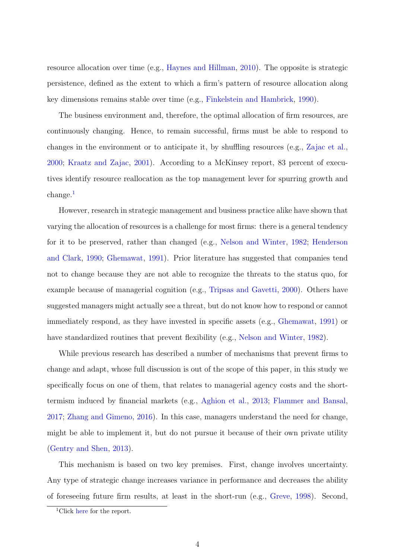resource allocation over time (e.g., [Haynes and Hillman,](#page-33-4) [2010\)](#page-33-4). The opposite is strategic persistence, defined as the extent to which a firm's pattern of resource allocation along key dimensions remains stable over time (e.g., [Finkelstein and Hambrick,](#page-33-3) [1990\)](#page-33-3).

The business environment and, therefore, the optimal allocation of firm resources, are continuously changing. Hence, to remain successful, firms must be able to respond to changes in the environment or to anticipate it, by shuffling resources (e.g., [Zajac et al.,](#page-34-6) [2000;](#page-34-6) [Kraatz and Zajac,](#page-33-6) [2001\)](#page-33-6). According to a McKinsey report, 83 percent of executives identify resource reallocation as the top management lever for spurring growth and change.[1](#page-4-0)

However, research in strategic management and business practice alike have shown that varying the allocation of resources is a challenge for most firms: there is a general tendency for it to be preserved, rather than changed (e.g., [Nelson and Winter,](#page-34-7) [1982;](#page-34-7) [Henderson](#page-33-7) [and Clark,](#page-33-7) [1990;](#page-33-7) [Ghemawat,](#page-33-5) [1991\)](#page-33-5). Prior literature has suggested that companies tend not to change because they are not able to recognize the threats to the status quo, for example because of managerial cognition (e.g., [Tripsas and Gavetti,](#page-34-9) [2000\)](#page-34-9). Others have suggested managers might actually see a threat, but do not know how to respond or cannot immediately respond, as they have invested in specific assets (e.g., [Ghemawat,](#page-33-5) [1991\)](#page-33-5) or have standardized routines that prevent flexibility (e.g., [Nelson and Winter,](#page-34-7) [1982\)](#page-34-7).

While previous research has described a number of mechanisms that prevent firms to change and adapt, whose full discussion is out of the scope of this paper, in this study we specifically focus on one of them, that relates to managerial agency costs and the shorttermism induced by financial markets (e.g., [Aghion et al.,](#page-32-7) [2013;](#page-32-7) [Flammer and Bansal,](#page-33-8) [2017;](#page-33-8) [Zhang and Gimeno,](#page-34-1) [2016\)](#page-34-1). In this case, managers understand the need for change, might be able to implement it, but do not pursue it because of their own private utility [\(Gentry and Shen,](#page-33-1) [2013\)](#page-33-1).

This mechanism is based on two key premises. First, change involves uncertainty. Any type of strategic change increases variance in performance and decreases the ability of foreseeing future firm results, at least in the short-run (e.g., [Greve,](#page-33-9) [1998\)](#page-33-9). Second,

<span id="page-4-0"></span><sup>1</sup>Click [here](https://www.mckinsey.com/business-functions/strategy-and-corporate-finance/our-insights/how-nimble-resource-allocation-can-double-your-companys-value?cid=eml-web) for the report.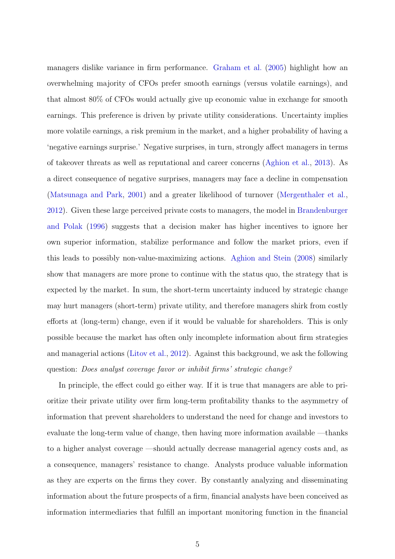managers dislike variance in firm performance. [Graham et al.](#page-33-10) [\(2005\)](#page-33-10) highlight how an overwhelming majority of CFOs prefer smooth earnings (versus volatile earnings), and that almost 80% of CFOs would actually give up economic value in exchange for smooth earnings. This preference is driven by private utility considerations. Uncertainty implies more volatile earnings, a risk premium in the market, and a higher probability of having a 'negative earnings surprise.' Negative surprises, in turn, strongly affect managers in terms of takeover threats as well as reputational and career concerns [\(Aghion et al.,](#page-32-7) [2013\)](#page-32-7). As a direct consequence of negative surprises, managers may face a decline in compensation [\(Matsunaga and Park,](#page-34-4) [2001\)](#page-34-4) and a greater likelihood of turnover [\(Mergenthaler et al.,](#page-34-5) [2012\)](#page-34-5). Given these large perceived private costs to managers, the model in [Brandenburger](#page-32-9) [and Polak](#page-32-9) [\(1996\)](#page-32-9) suggests that a decision maker has higher incentives to ignore her own superior information, stabilize performance and follow the market priors, even if this leads to possibly non-value-maximizing actions. [Aghion and Stein](#page-32-1) [\(2008\)](#page-32-1) similarly show that managers are more prone to continue with the status quo, the strategy that is expected by the market. In sum, the short-term uncertainty induced by strategic change may hurt managers (short-term) private utility, and therefore managers shirk from costly efforts at (long-term) change, even if it would be valuable for shareholders. This is only possible because the market has often only incomplete information about firm strategies and managerial actions [\(Litov et al.,](#page-33-2) [2012\)](#page-33-2). Against this background, we ask the following question: Does analyst coverage favor or inhibit firms' strategic change?

In principle, the effect could go either way. If it is true that managers are able to prioritize their private utility over firm long-term profitability thanks to the asymmetry of information that prevent shareholders to understand the need for change and investors to evaluate the long-term value of change, then having more information available —thanks to a higher analyst coverage —should actually decrease managerial agency costs and, as a consequence, managers' resistance to change. Analysts produce valuable information as they are experts on the firms they cover. By constantly analyzing and disseminating information about the future prospects of a firm, financial analysts have been conceived as information intermediaries that fulfill an important monitoring function in the financial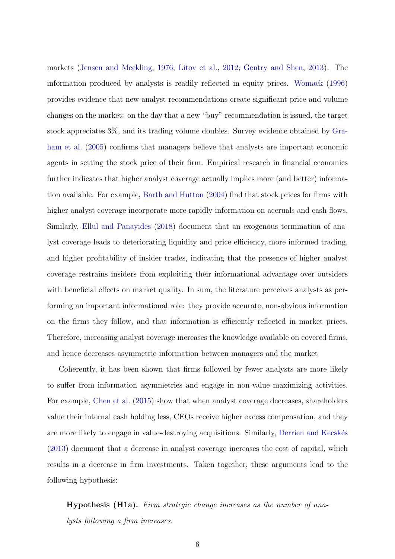markets [\(Jensen and Meckling,](#page-33-0) [1976;](#page-33-0) [Litov et al.,](#page-33-2) [2012;](#page-33-2) [Gentry and Shen,](#page-33-1) [2013\)](#page-33-1). The information produced by analysts is readily reflected in equity prices. [Womack](#page-34-10) [\(1996\)](#page-34-10) provides evidence that new analyst recommendations create significant price and volume changes on the market: on the day that a new "buy" recommendation is issued, the target stock appreciates 3%, and its trading volume doubles. Survey evidence obtained by [Gra](#page-33-10)[ham et al.](#page-33-10) [\(2005\)](#page-33-10) confirms that managers believe that analysts are important economic agents in setting the stock price of their firm. Empirical research in financial economics further indicates that higher analyst coverage actually implies more (and better) information available. For example, [Barth and Hutton](#page-32-10) [\(2004\)](#page-32-10) find that stock prices for firms with higher analyst coverage incorporate more rapidly information on accruals and cash flows. Similarly, [Ellul and Panayides](#page-33-11) [\(2018\)](#page-33-11) document that an exogenous termination of analyst coverage leads to deteriorating liquidity and price efficiency, more informed trading, and higher profitability of insider trades, indicating that the presence of higher analyst coverage restrains insiders from exploiting their informational advantage over outsiders with beneficial effects on market quality. In sum, the literature perceives analysts as performing an important informational role: they provide accurate, non-obvious information on the firms they follow, and that information is efficiently reflected in market prices. Therefore, increasing analyst coverage increases the knowledge available on covered firms, and hence decreases asymmetric information between managers and the market

Coherently, it has been shown that firms followed by fewer analysts are more likely to suffer from information asymmetries and engage in non-value maximizing activities. For example, [Chen et al.](#page-32-11) [\(2015\)](#page-32-11) show that when analyst coverage decreases, shareholders value their internal cash holding less, CEOs receive higher excess compensation, and they are more likely to engage in value-destroying acquisitions. Similarly, Derrien and Kecskés [\(2013\)](#page-33-12) document that a decrease in analyst coverage increases the cost of capital, which results in a decrease in firm investments. Taken together, these arguments lead to the following hypothesis:

Hypothesis (H1a). Firm strategic change increases as the number of analysts following a firm increases.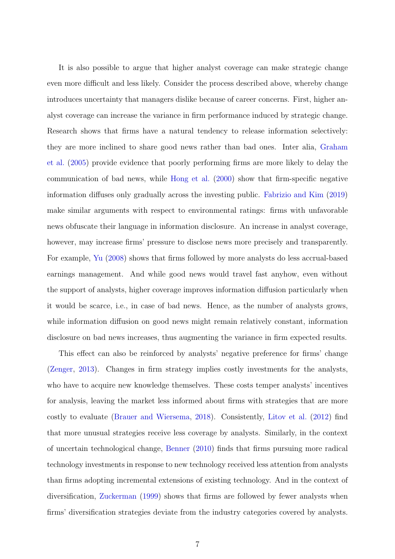It is also possible to argue that higher analyst coverage can make strategic change even more difficult and less likely. Consider the process described above, whereby change introduces uncertainty that managers dislike because of career concerns. First, higher analyst coverage can increase the variance in firm performance induced by strategic change. Research shows that firms have a natural tendency to release information selectively: they are more inclined to share good news rather than bad ones. Inter alia, [Graham](#page-33-10) [et al.](#page-33-10) [\(2005\)](#page-33-10) provide evidence that poorly performing firms are more likely to delay the communication of bad news, while [Hong et al.](#page-33-13) [\(2000\)](#page-33-13) show that firm-specific negative information diffuses only gradually across the investing public. [Fabrizio and Kim](#page-33-14) [\(2019\)](#page-33-14) make similar arguments with respect to environmental ratings: firms with unfavorable news obfuscate their language in information disclosure. An increase in analyst coverage, however, may increase firms' pressure to disclose news more precisely and transparently. For example, [Yu](#page-34-11) [\(2008\)](#page-34-11) shows that firms followed by more analysts do less accrual-based earnings management. And while good news would travel fast anyhow, even without the support of analysts, higher coverage improves information diffusion particularly when it would be scarce, i.e., in case of bad news. Hence, as the number of analysts grows, while information diffusion on good news might remain relatively constant, information disclosure on bad news increases, thus augmenting the variance in firm expected results.

This effect can also be reinforced by analysts' negative preference for firms' change [\(Zenger,](#page-34-2) [2013\)](#page-34-2). Changes in firm strategy implies costly investments for the analysts, who have to acquire new knowledge themselves. These costs temper analysts' incentives for analysis, leaving the market less informed about firms with strategies that are more costly to evaluate [\(Brauer and Wiersema,](#page-32-5) [2018\)](#page-32-5). Consistently, [Litov et al.](#page-33-2) [\(2012\)](#page-33-2) find that more unusual strategies receive less coverage by analysts. Similarly, in the context of uncertain technological change, [Benner](#page-32-12) [\(2010\)](#page-32-12) finds that firms pursuing more radical technology investments in response to new technology received less attention from analysts than firms adopting incremental extensions of existing technology. And in the context of diversification, [Zuckerman](#page-34-3) [\(1999\)](#page-34-3) shows that firms are followed by fewer analysts when firms' diversification strategies deviate from the industry categories covered by analysts.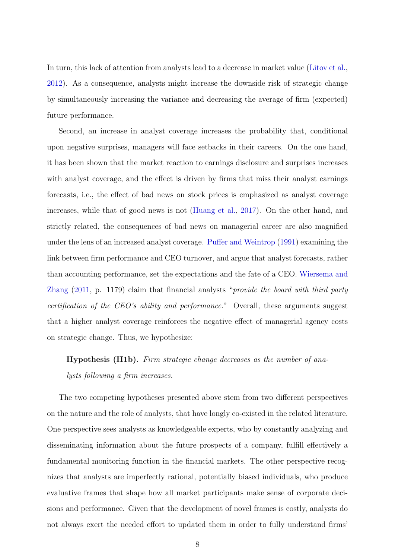In turn, this lack of attention from analysts lead to a decrease in market value [\(Litov et al.,](#page-33-2) [2012\)](#page-33-2). As a consequence, analysts might increase the downside risk of strategic change by simultaneously increasing the variance and decreasing the average of firm (expected) future performance.

Second, an increase in analyst coverage increases the probability that, conditional upon negative surprises, managers will face setbacks in their careers. On the one hand, it has been shown that the market reaction to earnings disclosure and surprises increases with analyst coverage, and the effect is driven by firms that miss their analyst earnings forecasts, i.e., the effect of bad news on stock prices is emphasized as analyst coverage increases, while that of good news is not [\(Huang et al.,](#page-33-15) [2017\)](#page-33-15). On the other hand, and strictly related, the consequences of bad news on managerial career are also magnified under the lens of an increased analyst coverage. [Puffer and Weintrop](#page-34-12) [\(1991\)](#page-34-12) examining the link between firm performance and CEO turnover, and argue that analyst forecasts, rather than accounting performance, set the expectations and the fate of a CEO. [Wiersema and](#page-34-13) [Zhang](#page-34-13) [\(2011,](#page-34-13) p. 1179) claim that financial analysts "provide the board with third party certification of the CEO's ability and performance." Overall, these arguments suggest that a higher analyst coverage reinforces the negative effect of managerial agency costs on strategic change. Thus, we hypothesize:

# Hypothesis (H1b). Firm strategic change decreases as the number of analysts following a firm increases.

The two competing hypotheses presented above stem from two different perspectives on the nature and the role of analysts, that have longly co-existed in the related literature. One perspective sees analysts as knowledgeable experts, who by constantly analyzing and disseminating information about the future prospects of a company, fulfill effectively a fundamental monitoring function in the financial markets. The other perspective recognizes that analysts are imperfectly rational, potentially biased individuals, who produce evaluative frames that shape how all market participants make sense of corporate decisions and performance. Given that the development of novel frames is costly, analysts do not always exert the needed effort to updated them in order to fully understand firms'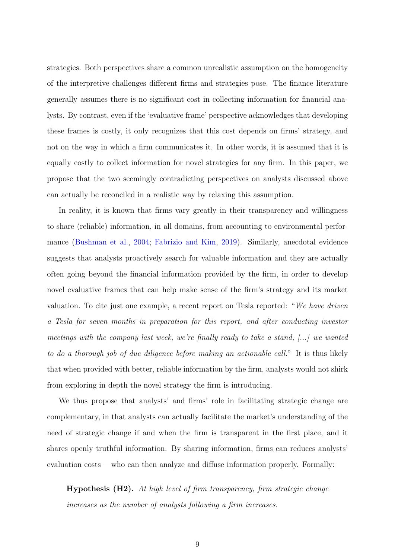strategies. Both perspectives share a common unrealistic assumption on the homogeneity of the interpretive challenges different firms and strategies pose. The finance literature generally assumes there is no significant cost in collecting information for financial analysts. By contrast, even if the 'evaluative frame' perspective acknowledges that developing these frames is costly, it only recognizes that this cost depends on firms' strategy, and not on the way in which a firm communicates it. In other words, it is assumed that it is equally costly to collect information for novel strategies for any firm. In this paper, we propose that the two seemingly contradicting perspectives on analysts discussed above can actually be reconciled in a realistic way by relaxing this assumption.

In reality, it is known that firms vary greatly in their transparency and willingness to share (reliable) information, in all domains, from accounting to environmental performance [\(Bushman et al.,](#page-32-13) [2004;](#page-32-13) [Fabrizio and Kim,](#page-33-14) [2019\)](#page-33-14). Similarly, anecdotal evidence suggests that analysts proactively search for valuable information and they are actually often going beyond the financial information provided by the firm, in order to develop novel evaluative frames that can help make sense of the firm's strategy and its market valuation. To cite just one example, a recent report on Tesla reported: "We have driven a Tesla for seven months in preparation for this report, and after conducting investor meetings with the company last week, we're finally ready to take a stand, [...] we wanted to do a thorough job of due diligence before making an actionable call." It is thus likely that when provided with better, reliable information by the firm, analysts would not shirk from exploring in depth the novel strategy the firm is introducing.

We thus propose that analysts' and firms' role in facilitating strategic change are complementary, in that analysts can actually facilitate the market's understanding of the need of strategic change if and when the firm is transparent in the first place, and it shares openly truthful information. By sharing information, firms can reduces analysts' evaluation costs —who can then analyze and diffuse information properly. Formally:

Hypothesis (H2). At high level of firm transparency, firm strategic change increases as the number of analysts following a firm increases.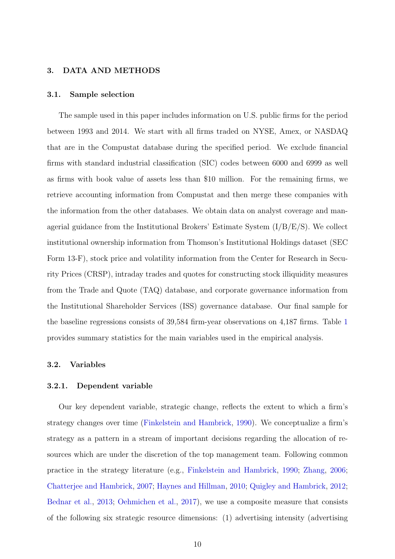#### 3. DATA AND METHODS

#### 3.1. Sample selection

The sample used in this paper includes information on U.S. public firms for the period between 1993 and 2014. We start with all firms traded on NYSE, Amex, or NASDAQ that are in the Compustat database during the specified period. We exclude financial firms with standard industrial classification (SIC) codes between 6000 and 6999 as well as firms with book value of assets less than \$10 million. For the remaining firms, we retrieve accounting information from Compustat and then merge these companies with the information from the other databases. We obtain data on analyst coverage and managerial guidance from the Institutional Brokers' Estimate System (I/B/E/S). We collect institutional ownership information from Thomson's Institutional Holdings dataset (SEC Form 13-F), stock price and volatility information from the Center for Research in Security Prices (CRSP), intraday trades and quotes for constructing stock illiquidity measures from the Trade and Quote (TAQ) database, and corporate governance information from the Institutional Shareholder Services (ISS) governance database. Our final sample for the baseline regressions consists of 39,584 firm-year observations on 4,187 firms. Table [1](#page-36-0) provides summary statistics for the main variables used in the empirical analysis.

#### 3.2. Variables

#### <span id="page-10-0"></span>3.2.1. Dependent variable

Our key dependent variable, strategic change, reflects the extent to which a firm's strategy changes over time [\(Finkelstein and Hambrick,](#page-33-3) [1990\)](#page-33-3). We conceptualize a firm's strategy as a pattern in a stream of important decisions regarding the allocation of resources which are under the discretion of the top management team. Following common practice in the strategy literature (e.g., [Finkelstein and Hambrick,](#page-33-3) [1990;](#page-33-3) [Zhang,](#page-34-14) [2006;](#page-34-14) [Chatterjee and Hambrick,](#page-32-14) [2007;](#page-32-14) [Haynes and Hillman,](#page-33-4) [2010;](#page-33-4) [Quigley and Hambrick,](#page-34-15) [2012;](#page-34-15) [Bednar et al.,](#page-32-15) [2013;](#page-32-15) [Oehmichen et al.,](#page-34-16) [2017\)](#page-34-16), we use a composite measure that consists of the following six strategic resource dimensions: (1) advertising intensity (advertising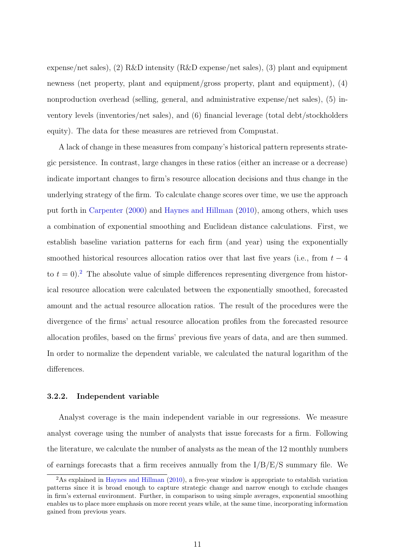expense/net sales), (2) R&D intensity (R&D expense/net sales), (3) plant and equipment newness (net property, plant and equipment/gross property, plant and equipment), (4) nonproduction overhead (selling, general, and administrative expense/net sales), (5) inventory levels (inventories/net sales), and (6) financial leverage (total debt/stockholders equity). The data for these measures are retrieved from Compustat.

A lack of change in these measures from company's historical pattern represents strategic persistence. In contrast, large changes in these ratios (either an increase or a decrease) indicate important changes to firm's resource allocation decisions and thus change in the underlying strategy of the firm. To calculate change scores over time, we use the approach put forth in [Carpenter](#page-32-16) [\(2000\)](#page-32-16) and [Haynes and Hillman](#page-33-4) [\(2010\)](#page-33-4), among others, which uses a combination of exponential smoothing and Euclidean distance calculations. First, we establish baseline variation patterns for each firm (and year) using the exponentially smoothed historical resources allocation ratios over that last five years (i.e., from  $t - 4$ to  $t = 0$ .<sup>[2](#page-11-0)</sup> The absolute value of simple differences representing divergence from historical resource allocation were calculated between the exponentially smoothed, forecasted amount and the actual resource allocation ratios. The result of the procedures were the divergence of the firms' actual resource allocation profiles from the forecasted resource allocation profiles, based on the firms' previous five years of data, and are then summed. In order to normalize the dependent variable, we calculated the natural logarithm of the differences.

# <span id="page-11-1"></span>3.2.2. Independent variable

Analyst coverage is the main independent variable in our regressions. We measure analyst coverage using the number of analysts that issue forecasts for a firm. Following the literature, we calculate the number of analysts as the mean of the 12 monthly numbers of earnings forecasts that a firm receives annually from the I/B/E/S summary file. We

<span id="page-11-0"></span> $2\text{As explained in Haynes and Hillman (2010), a five-year window is appropriate to establish variation.}$  $2\text{As explained in Haynes and Hillman (2010), a five-year window is appropriate to establish variation.}$  $2\text{As explained in Haynes and Hillman (2010), a five-year window is appropriate to establish variation.}$  $2\text{As explained in Haynes and Hillman (2010), a five-year window is appropriate to establish variation.}$  $2\text{As explained in Haynes and Hillman (2010), a five-year window is appropriate to establish variation.}$ patterns since it is broad enough to capture strategic change and narrow enough to exclude changes in firm's external environment. Further, in comparison to using simple averages, exponential smoothing enables us to place more emphasis on more recent years while, at the same time, incorporating information gained from previous years.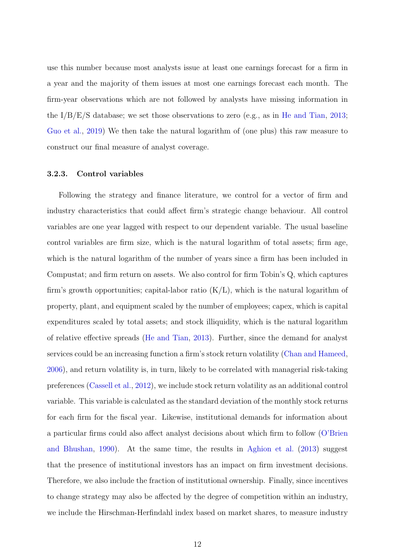use this number because most analysts issue at least one earnings forecast for a firm in a year and the majority of them issues at most one earnings forecast each month. The firm-year observations which are not followed by analysts have missing information in the  $I/B/E/S$  database; we set those observations to zero (e.g., as in [He and Tian,](#page-33-16) [2013;](#page-33-16) [Guo et al.,](#page-33-17) [2019\)](#page-33-17) We then take the natural logarithm of (one plus) this raw measure to construct our final measure of analyst coverage.

## <span id="page-12-0"></span>3.2.3. Control variables

Following the strategy and finance literature, we control for a vector of firm and industry characteristics that could affect firm's strategic change behaviour. All control variables are one year lagged with respect to our dependent variable. The usual baseline control variables are firm size, which is the natural logarithm of total assets; firm age, which is the natural logarithm of the number of years since a firm has been included in Compustat; and firm return on assets. We also control for firm Tobin's Q, which captures firm's growth opportunities; capital-labor ratio  $(K/L)$ , which is the natural logarithm of property, plant, and equipment scaled by the number of employees; capex, which is capital expenditures scaled by total assets; and stock illiquidity, which is the natural logarithm of relative effective spreads [\(He and Tian,](#page-33-16) [2013\)](#page-33-16). Further, since the demand for analyst services could be an increasing function a firm's stock return volatility [\(Chan and Hameed,](#page-32-17) [2006\)](#page-32-17), and return volatility is, in turn, likely to be correlated with managerial risk-taking preferences [\(Cassell et al.,](#page-32-18) [2012\)](#page-32-18), we include stock return volatility as an additional control variable. This variable is calculated as the standard deviation of the monthly stock returns for each firm for the fiscal year. Likewise, institutional demands for information about a particular firms could also affect analyst decisions about which firm to follow [\(O'Brien](#page-34-17) [and Bhushan,](#page-34-17) [1990\)](#page-34-17). At the same time, the results in [Aghion et al.](#page-32-7) [\(2013\)](#page-32-7) suggest that the presence of institutional investors has an impact on firm investment decisions. Therefore, we also include the fraction of institutional ownership. Finally, since incentives to change strategy may also be affected by the degree of competition within an industry, we include the Hirschman-Herfindahl index based on market shares, to measure industry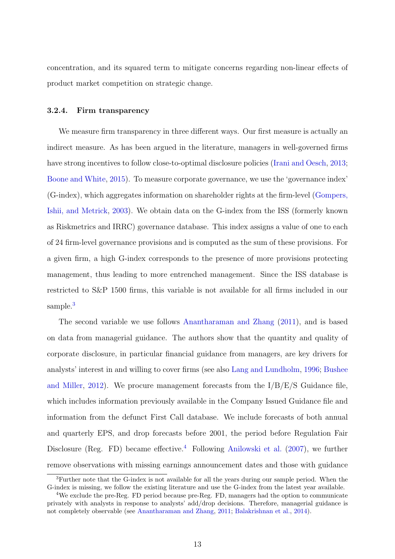concentration, and its squared term to mitigate concerns regarding non-linear effects of product market competition on strategic change.

#### <span id="page-13-2"></span>3.2.4. Firm transparency

We measure firm transparency in three different ways. Our first measure is actually an indirect measure. As has been argued in the literature, managers in well-governed firms have strong incentives to follow close-to-optimal disclosure policies [\(Irani and Oesch,](#page-33-18) [2013;](#page-33-18) [Boone and White,](#page-32-19) [2015\)](#page-32-19). To measure corporate governance, we use the 'governance index' (G-index), which aggregates information on shareholder rights at the firm-level [\(Gompers,](#page-33-19) [Ishii, and Metrick,](#page-33-19) [2003\)](#page-33-19). We obtain data on the G-index from the ISS (formerly known as Riskmetrics and IRRC) governance database. This index assigns a value of one to each of 24 firm-level governance provisions and is computed as the sum of these provisions. For a given firm, a high G-index corresponds to the presence of more provisions protecting management, thus leading to more entrenched management. Since the ISS database is restricted to S&P 1500 firms, this variable is not available for all firms included in our sample.<sup>[3](#page-13-0)</sup>

The second variable we use follows [Anantharaman and Zhang](#page-32-20) [\(2011\)](#page-32-20), and is based on data from managerial guidance. The authors show that the quantity and quality of corporate disclosure, in particular financial guidance from managers, are key drivers for analysts' interest in and willing to cover firms (see also [Lang and Lundholm,](#page-33-20) [1996;](#page-33-20) [Bushee](#page-32-21) [and Miller,](#page-32-21) [2012\)](#page-32-21). We procure management forecasts from the  $I/B/E/S$  Guidance file, which includes information previously available in the Company Issued Guidance file and information from the defunct First Call database. We include forecasts of both annual and quarterly EPS, and drop forecasts before 2001, the period before Regulation Fair Disclosure (Reg. FD) became effective.<sup>[4](#page-13-1)</sup> Following [Anilowski et al.](#page-32-22) [\(2007\)](#page-32-22), we further remove observations with missing earnings announcement dates and those with guidance

<span id="page-13-0"></span><sup>3</sup>Further note that the G-index is not available for all the years during our sample period. When the G-index is missing, we follow the existing literature and use the G-index from the latest year available.

<span id="page-13-1"></span><sup>4</sup>We exclude the pre-Reg. FD period because pre-Reg. FD, managers had the option to communicate privately with analysts in response to analysts' add/drop decisions. Therefore, managerial guidance is not completely observable (see [Anantharaman and Zhang,](#page-32-20) [2011;](#page-32-20) [Balakrishnan et al.,](#page-32-23) [2014\)](#page-32-23).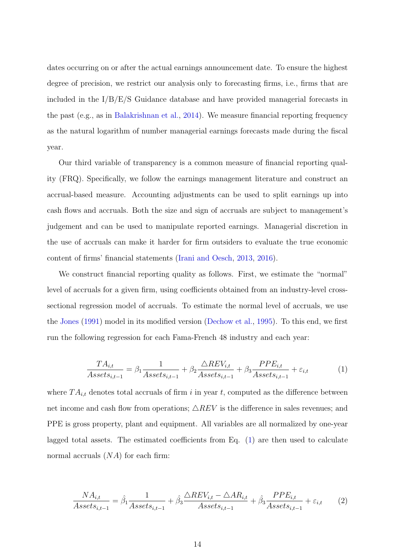dates occurring on or after the actual earnings announcement date. To ensure the highest degree of precision, we restrict our analysis only to forecasting firms, i.e., firms that are included in the I/B/E/S Guidance database and have provided managerial forecasts in the past (e.g., as in [Balakrishnan et al.,](#page-32-23) [2014\)](#page-32-23). We measure financial reporting frequency as the natural logarithm of number managerial earnings forecasts made during the fiscal year.

Our third variable of transparency is a common measure of financial reporting quality (FRQ). Specifically, we follow the earnings management literature and construct an accrual-based measure. Accounting adjustments can be used to split earnings up into cash flows and accruals. Both the size and sign of accruals are subject to management's judgement and can be used to manipulate reported earnings. Managerial discretion in the use of accruals can make it harder for firm outsiders to evaluate the true economic content of firms' financial statements [\(Irani and Oesch,](#page-33-18) [2013,](#page-33-18) [2016\)](#page-33-21).

We construct financial reporting quality as follows. First, we estimate the "normal" level of accruals for a given firm, using coefficients obtained from an industry-level crosssectional regression model of accruals. To estimate the normal level of accruals, we use the [Jones](#page-33-22) [\(1991\)](#page-33-22) model in its modified version [\(Dechow et al.,](#page-33-23) [1995\)](#page-33-23). To this end, we first run the following regression for each Fama-French 48 industry and each year:

<span id="page-14-0"></span>
$$
\frac{TA_{i,t}}{Assets_{i,t-1}} = \beta_1 \frac{1}{Assets_{i,t-1}} + \beta_2 \frac{\triangle REV_{i,t}}{Assets_{i,t-1}} + \beta_3 \frac{PPE_{i,t}}{Assets_{i,t-1}} + \varepsilon_{i,t}
$$
(1)

where  $TA_{i,t}$  denotes total accruals of firm i in year t, computed as the difference between net income and cash flow from operations;  $\triangle REV$  is the difference in sales revenues; and PPE is gross property, plant and equipment. All variables are all normalized by one-year lagged total assets. The estimated coefficients from Eq. [\(1\)](#page-14-0) are then used to calculate normal accruals  $(NA)$  for each firm:

$$
\frac{NA_{i,t}}{Assets_{i,t-1}} = \hat{\beta}_1 \frac{1}{Assets_{i,t-1}} + \hat{\beta}_3 \frac{\triangle REV_{i,t} - \triangle AR_{i,t}}{Assets_{i,t-1}} + \hat{\beta}_3 \frac{PPE_{i,t}}{Assets_{i,t-1}} + \varepsilon_{i,t} \tag{2}
$$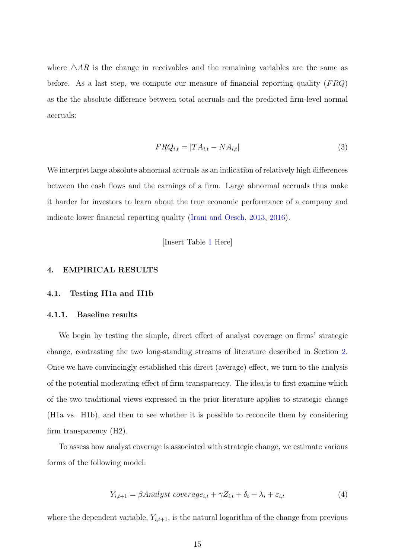where  $\triangle AR$  is the change in receivables and the remaining variables are the same as before. As a last step, we compute our measure of financial reporting quality  $(FRQ)$ as the the absolute difference between total accruals and the predicted firm-level normal accruals:

$$
FRQ_{i,t} = |TA_{i,t} - NA_{i,t}| \tag{3}
$$

We interpret large absolute abnormal accruals as an indication of relatively high differences between the cash flows and the earnings of a firm. Large abnormal accruals thus make it harder for investors to learn about the true economic performance of a company and indicate lower financial reporting quality [\(Irani and Oesch,](#page-33-18) [2013,](#page-33-18) [2016\)](#page-33-21).

[Insert Table [1](#page-36-0) Here]

#### 4. EMPIRICAL RESULTS

#### 4.1. Testing H1a and H1b

#### <span id="page-15-0"></span>4.1.1. Baseline results

We begin by testing the simple, direct effect of analyst coverage on firms' strategic change, contrasting the two long-standing streams of literature described in Section [2.](#page-3-0) Once we have convincingly established this direct (average) effect, we turn to the analysis of the potential moderating effect of firm transparency. The idea is to first examine which of the two traditional views expressed in the prior literature applies to strategic change (H1a vs. H1b), and then to see whether it is possible to reconcile them by considering firm transparency (H2).

To assess how analyst coverage is associated with strategic change, we estimate various forms of the following model:

$$
Y_{i,t+1} = \beta \text{Analyst coverage}_{i,t} + \gamma Z_{i,t} + \delta_t + \lambda_i + \varepsilon_{i,t} \tag{4}
$$

where the dependent variable,  $Y_{i,t+1}$ , is the natural logarithm of the change from previous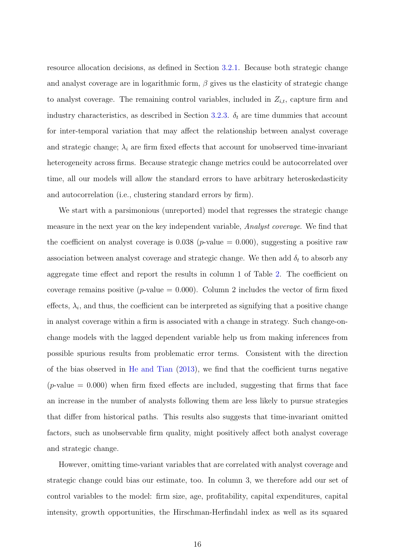resource allocation decisions, as defined in Section [3.2.1.](#page-10-0) Because both strategic change and analyst coverage are in logarithmic form,  $\beta$  gives us the elasticity of strategic change to analyst coverage. The remaining control variables, included in  $Z_{i,t}$ , capture firm and industry characteristics, as described in Section [3.2.3.](#page-12-0)  $\delta_t$  are time dummies that account for inter-temporal variation that may affect the relationship between analyst coverage and strategic change;  $\lambda_i$  are firm fixed effects that account for unobserved time-invariant heterogeneity across firms. Because strategic change metrics could be autocorrelated over time, all our models will allow the standard errors to have arbitrary heteroskedasticity and autocorrelation (i.e., clustering standard errors by firm).

We start with a parsimonious (unreported) model that regresses the strategic change measure in the next year on the key independent variable, Analyst coverage. We find that the coefficient on analyst coverage is  $0.038$  (*p*-value = 0.000), suggesting a positive raw association between analyst coverage and strategic change. We then add  $\delta_t$  to absorb any aggregate time effect and report the results in column 1 of Table [2.](#page-37-0) The coefficient on coverage remains positive ( $p$ -value = 0.000). Column 2 includes the vector of firm fixed effects,  $\lambda_i$ , and thus, the coefficient can be interpreted as signifying that a positive change in analyst coverage within a firm is associated with a change in strategy. Such change-onchange models with the lagged dependent variable help us from making inferences from possible spurious results from problematic error terms. Consistent with the direction of the bias observed in [He and Tian](#page-33-16) [\(2013\)](#page-33-16), we find that the coefficient turns negative  $(p$ -value  $= 0.000$ ) when firm fixed effects are included, suggesting that firms that face an increase in the number of analysts following them are less likely to pursue strategies that differ from historical paths. This results also suggests that time-invariant omitted factors, such as unobservable firm quality, might positively affect both analyst coverage and strategic change.

However, omitting time-variant variables that are correlated with analyst coverage and strategic change could bias our estimate, too. In column 3, we therefore add our set of control variables to the model: firm size, age, profitability, capital expenditures, capital intensity, growth opportunities, the Hirschman-Herfindahl index as well as its squared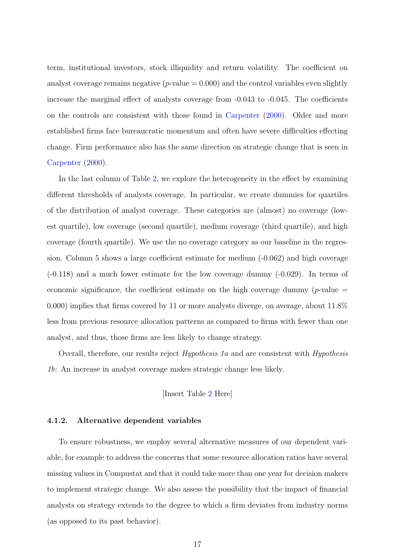term, institutional investors, stock illiquidity and return volatility. The coefficient on analyst coverage remains negative  $(p$ -value  $= 0.000)$  and the control variables even slightly increase the marginal effect of analysts coverage from -0.043 to -0.045. The coefficients on the controls are consistent with those found in [Carpenter](#page-32-16) [\(2000\)](#page-32-16). Older and more established firms face bureaucratic momentum and often have severe difficulties effecting change. Firm performance also has the same direction on strategic change that is seen in [Carpenter](#page-32-16) [\(2000\)](#page-32-16).

In the last column of Table [2,](#page-37-0) we explore the heterogeneity in the effect by examining different thresholds of analysts coverage. In particular, we create dummies for quartiles of the distribution of analyst coverage. These categories are (almost) no coverage (lowest quartile), low coverage (second quartile), medium coverage (third quartile), and high coverage (fourth quartile). We use the no coverage category as our baseline in the regression. Column 5 shows a large coefficient estimate for medium (-0.062) and high coverage (-0.118) and a much lower estimate for the low coverage dummy (-0.029). In terms of economic significance, the coefficient estimate on the high coverage dummy ( $p$ -value  $=$ 0.000) implies that firms covered by 11 or more analysts diverge, on average, about 11.8% less from previous resource allocation patterns as compared to firms with fewer than one analyst, and thus, those firms are less likely to change strategy.

Overall, therefore, our results reject Hypothesis 1a and are consistent with Hypothesis 1b: An increase in analyst coverage makes strategic change less likely.

[Insert Table [2](#page-37-0) Here]

## 4.1.2. Alternative dependent variables

To ensure robustness, we employ several alternative measures of our dependent variable, for example to address the concerns that some resource allocation ratios have several missing values in Compustat and that it could take more than one year for decision makers to implement strategic change. We also assess the possibility that the impact of financial analysts on strategy extends to the degree to which a firm deviates from industry norms (as opposed to its past behavior).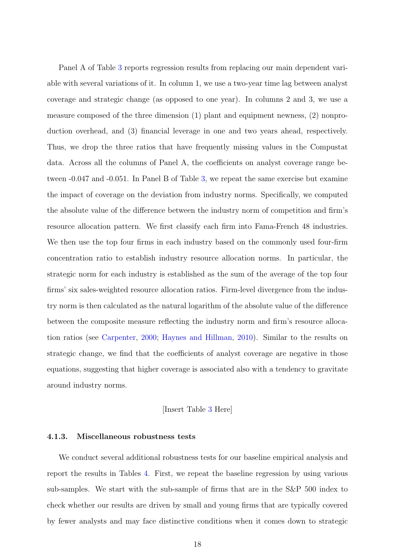Panel A of Table [3](#page-38-0) reports regression results from replacing our main dependent variable with several variations of it. In column 1, we use a two-year time lag between analyst coverage and strategic change (as opposed to one year). In columns 2 and 3, we use a measure composed of the three dimension (1) plant and equipment newness, (2) nonproduction overhead, and (3) financial leverage in one and two years ahead, respectively. Thus, we drop the three ratios that have frequently missing values in the Compustat data. Across all the columns of Panel A, the coefficients on analyst coverage range between -0.047 and -0.051. In Panel B of Table [3,](#page-38-0) we repeat the same exercise but examine the impact of coverage on the deviation from industry norms. Specifically, we computed the absolute value of the difference between the industry norm of competition and firm's resource allocation pattern. We first classify each firm into Fama-French 48 industries. We then use the top four firms in each industry based on the commonly used four-firm concentration ratio to establish industry resource allocation norms. In particular, the strategic norm for each industry is established as the sum of the average of the top four firms' six sales-weighted resource allocation ratios. Firm-level divergence from the industry norm is then calculated as the natural logarithm of the absolute value of the difference between the composite measure reflecting the industry norm and firm's resource allocation ratios (see [Carpenter,](#page-32-16) [2000;](#page-32-16) [Haynes and Hillman,](#page-33-4) [2010\)](#page-33-4). Similar to the results on strategic change, we find that the coefficients of analyst coverage are negative in those equations, suggesting that higher coverage is associated also with a tendency to gravitate around industry norms.

#### [Insert Table [3](#page-38-0) Here]

#### 4.1.3. Miscellaneous robustness tests

We conduct several additional robustness tests for our baseline empirical analysis and report the results in Tables [4.](#page-39-0) First, we repeat the baseline regression by using various sub-samples. We start with the sub-sample of firms that are in the S&P 500 index to check whether our results are driven by small and young firms that are typically covered by fewer analysts and may face distinctive conditions when it comes down to strategic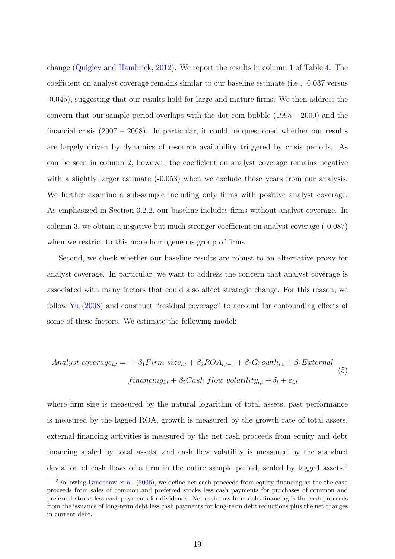change [\(Quigley and Hambrick,](#page-34-15) [2012\)](#page-34-15). We report the results in column 1 of Table [4.](#page-39-0) The coefficient on analyst coverage remains similar to our baseline estimate (i.e., -0.037 versus -0.045), suggesting that our results hold for large and mature firms. We then address the concern that our sample period overlaps with the dot-com bubble (1995 – 2000) and the financial crisis (2007 – 2008). In particular, it could be questioned whether our results are largely driven by dynamics of resource availability triggered by crisis periods. As can be seen in column 2, however, the coefficient on analyst coverage remains negative with a slightly larger estimate  $(-0.053)$  when we exclude those years from our analysis. We further examine a sub-sample including only firms with positive analyst coverage. As emphasized in Section [3.2.2,](#page-11-1) our baseline includes firms without analyst coverage. In column 3, we obtain a negative but much stronger coefficient on analyst coverage (-0.087) when we restrict to this more homogeneous group of firms.

Second, we check whether our baseline results are robust to an alternative proxy for analyst coverage. In particular, we want to address the concern that analyst coverage is associated with many factors that could also affect strategic change. For this reason, we follow [Yu](#page-34-11) [\(2008\)](#page-34-11) and construct "residual coverage" to account for confounding effects of some of these factors. We estimate the following model:

Analyst coverage<sub>i,t</sub> = 
$$
+\beta_1
$$
 Firm size<sub>i,t</sub> +  $\beta_2$ ROA<sub>i,t-1</sub> +  $\beta_3$ Growth<sub>i,t</sub> +  $\beta_4$ External  
\n
$$
financing_{i,t} + \beta_5 Cash \ flow \ volatility_{i,t} + \delta_t + \varepsilon_{i,t}
$$
\n(5)

where firm size is measured by the natural logarithm of total assets, past performance is measured by the lagged ROA, growth is measured by the growth rate of total assets, external financing activities is measured by the net cash proceeds from equity and debt financing scaled by total assets, and cash flow volatility is measured by the standard deviation of cash flows of a firm in the entire sample period, scaled by lagged assets.<sup>[5](#page-19-0)</sup>

<span id="page-19-0"></span><sup>5</sup>Following [Bradshaw et al.](#page-32-24) [\(2006\)](#page-32-24), we define net cash proceeds from equity financing as the the cash proceeds from sales of common and preferred stocks less cash payments for purchases of common and preferred stocks less cash payments for dividends. Net cash flow from debt financing is the cash proceeds from the issuance of long-term debt less cash payments for long-term debt reductions plus the net changes in current debt.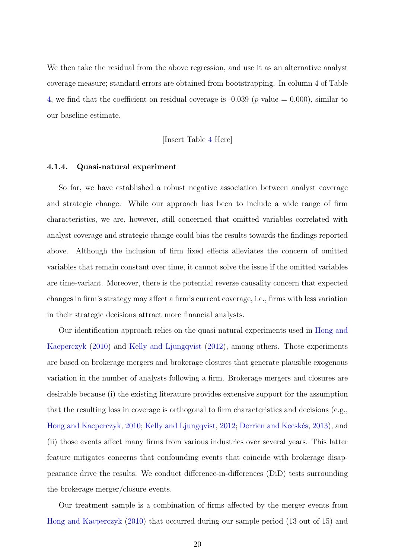We then take the residual from the above regression, and use it as an alternative analyst coverage measure; standard errors are obtained from bootstrapping. In column 4 of Table [4,](#page-39-0) we find that the coefficient on residual coverage is  $-0.039$  (*p*-value  $= 0.000$ ), similar to our baseline estimate.

[Insert Table [4](#page-39-0) Here]

#### <span id="page-20-0"></span>4.1.4. Quasi-natural experiment

So far, we have established a robust negative association between analyst coverage and strategic change. While our approach has been to include a wide range of firm characteristics, we are, however, still concerned that omitted variables correlated with analyst coverage and strategic change could bias the results towards the findings reported above. Although the inclusion of firm fixed effects alleviates the concern of omitted variables that remain constant over time, it cannot solve the issue if the omitted variables are time-variant. Moreover, there is the potential reverse causality concern that expected changes in firm's strategy may affect a firm's current coverage, i.e., firms with less variation in their strategic decisions attract more financial analysts.

Our identification approach relies on the quasi-natural experiments used in [Hong and](#page-33-24) [Kacperczyk](#page-33-24) [\(2010\)](#page-33-24) and [Kelly and Ljungqvist](#page-33-25) [\(2012\)](#page-33-25), among others. Those experiments are based on brokerage mergers and brokerage closures that generate plausible exogenous variation in the number of analysts following a firm. Brokerage mergers and closures are desirable because (i) the existing literature provides extensive support for the assumption that the resulting loss in coverage is orthogonal to firm characteristics and decisions (e.g., [Hong and Kacperczyk,](#page-33-24) [2010;](#page-33-24) [Kelly and Ljungqvist,](#page-33-25) [2012;](#page-33-25) Derrien and Kecskés, [2013\)](#page-33-12), and (ii) those events affect many firms from various industries over several years. This latter feature mitigates concerns that confounding events that coincide with brokerage disappearance drive the results. We conduct difference-in-differences (DiD) tests surrounding the brokerage merger/closure events.

Our treatment sample is a combination of firms affected by the merger events from [Hong and Kacperczyk](#page-33-24) [\(2010\)](#page-33-24) that occurred during our sample period (13 out of 15) and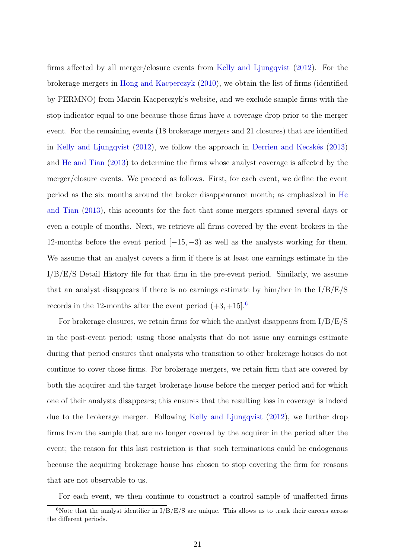firms affected by all merger/closure events from [Kelly and Ljungqvist](#page-33-25) [\(2012\)](#page-33-25). For the brokerage mergers in [Hong and Kacperczyk](#page-33-24) [\(2010\)](#page-33-24), we obtain the list of firms (identified by PERMNO) from Marcin Kacperczyk's website, and we exclude sample firms with the stop indicator equal to one because those firms have a coverage drop prior to the merger event. For the remaining events (18 brokerage mergers and 21 closures) that are identified in [Kelly and Ljungqvist](#page-33-25)  $(2012)$ , we follow the approach in Derrien and Kecskés  $(2013)$ and [He and Tian](#page-33-16) [\(2013\)](#page-33-16) to determine the firms whose analyst coverage is affected by the merger/closure events. We proceed as follows. First, for each event, we define the event period as the six months around the broker disappearance month; as emphasized in [He](#page-33-16) [and Tian](#page-33-16) [\(2013\)](#page-33-16), this accounts for the fact that some mergers spanned several days or even a couple of months. Next, we retrieve all firms covered by the event brokers in the 12-months before the event period  $[-15, -3)$  as well as the analysts working for them. We assume that an analyst covers a firm if there is at least one earnings estimate in the I/B/E/S Detail History file for that firm in the pre-event period. Similarly, we assume that an analyst disappears if there is no earnings estimate by him/her in the I/B/E/S records in the 12-months after the event period  $(+3, +15]$ <sup>[6](#page-21-0)</sup>.

For brokerage closures, we retain firms for which the analyst disappears from  $I/B/E/S$ in the post-event period; using those analysts that do not issue any earnings estimate during that period ensures that analysts who transition to other brokerage houses do not continue to cover those firms. For brokerage mergers, we retain firm that are covered by both the acquirer and the target brokerage house before the merger period and for which one of their analysts disappears; this ensures that the resulting loss in coverage is indeed due to the brokerage merger. Following [Kelly and Ljungqvist](#page-33-25) [\(2012\)](#page-33-25), we further drop firms from the sample that are no longer covered by the acquirer in the period after the event; the reason for this last restriction is that such terminations could be endogenous because the acquiring brokerage house has chosen to stop covering the firm for reasons that are not observable to us.

<span id="page-21-0"></span>For each event, we then continue to construct a control sample of unaffected firms

 $6$ Note that the analyst identifier in  $I/B/E/S$  are unique. This allows us to track their careers across the different periods.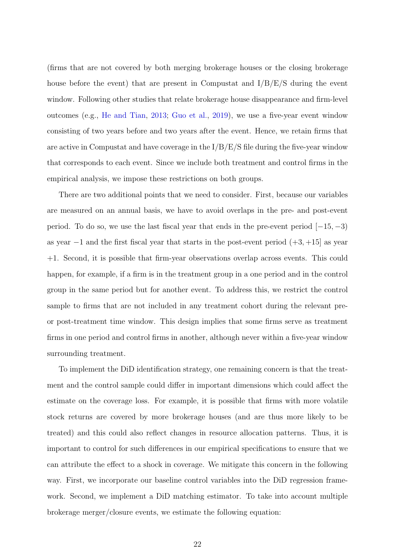(firms that are not covered by both merging brokerage houses or the closing brokerage house before the event) that are present in Compustat and  $I/B/E/S$  during the event window. Following other studies that relate brokerage house disappearance and firm-level outcomes (e.g., [He and Tian,](#page-33-16) [2013;](#page-33-16) [Guo et al.,](#page-33-17) [2019\)](#page-33-17), we use a five-year event window consisting of two years before and two years after the event. Hence, we retain firms that are active in Compustat and have coverage in the  $I/B/E/S$  file during the five-year window that corresponds to each event. Since we include both treatment and control firms in the empirical analysis, we impose these restrictions on both groups.

There are two additional points that we need to consider. First, because our variables are measured on an annual basis, we have to avoid overlaps in the pre- and post-event period. To do so, we use the last fiscal year that ends in the pre-event period  $[-15, -3)$ as year  $-1$  and the first fiscal year that starts in the post-event period  $(+3, +15]$  as year +1. Second, it is possible that firm-year observations overlap across events. This could happen, for example, if a firm is in the treatment group in a one period and in the control group in the same period but for another event. To address this, we restrict the control sample to firms that are not included in any treatment cohort during the relevant preor post-treatment time window. This design implies that some firms serve as treatment firms in one period and control firms in another, although never within a five-year window surrounding treatment.

To implement the DiD identification strategy, one remaining concern is that the treatment and the control sample could differ in important dimensions which could affect the estimate on the coverage loss. For example, it is possible that firms with more volatile stock returns are covered by more brokerage houses (and are thus more likely to be treated) and this could also reflect changes in resource allocation patterns. Thus, it is important to control for such differences in our empirical specifications to ensure that we can attribute the effect to a shock in coverage. We mitigate this concern in the following way. First, we incorporate our baseline control variables into the DiD regression framework. Second, we implement a DiD matching estimator. To take into account multiple brokerage merger/closure events, we estimate the following equation: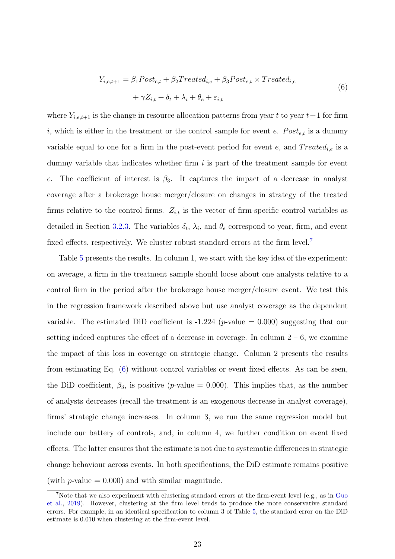<span id="page-23-1"></span>
$$
Y_{i,e,t+1} = \beta_1 Post_{e,t} + \beta_2 Treated_{i,e} + \beta_3 Post_{e,t} \times Treated_{i,e}
$$
  
+  $\gamma Z_{i,t} + \delta_t + \lambda_i + \theta_e + \varepsilon_{i,t}$  (6)

where  $Y_{i,e,t+1}$  is the change in resource allocation patterns from year t to year  $t+1$  for firm i, which is either in the treatment or the control sample for event e.  $Post_{e,t}$  is a dummy variable equal to one for a firm in the post-event period for event e, and  $Treated_{i,e}$  is a dummy variable that indicates whether firm  $i$  is part of the treatment sample for event e. The coefficient of interest is  $\beta_3$ . It captures the impact of a decrease in analyst coverage after a brokerage house merger/closure on changes in strategy of the treated firms relative to the control firms.  $Z_{i,t}$  is the vector of firm-specific control variables as detailed in Section [3.2.3.](#page-12-0) The variables  $\delta_t$ ,  $\lambda_i$ , and  $\theta_e$  correspond to year, firm, and event fixed effects, respectively. We cluster robust standard errors at the firm level.<sup>[7](#page-23-0)</sup>

Table [5](#page-40-0) presents the results. In column 1, we start with the key idea of the experiment: on average, a firm in the treatment sample should loose about one analysts relative to a control firm in the period after the brokerage house merger/closure event. We test this in the regression framework described above but use analyst coverage as the dependent variable. The estimated DiD coefficient is  $-1.224$  (p-value  $= 0.000$ ) suggesting that our setting indeed captures the effect of a decrease in coverage. In column  $2 - 6$ , we examine the impact of this loss in coverage on strategic change. Column 2 presents the results from estimating Eq. [\(6\)](#page-23-1) without control variables or event fixed effects. As can be seen, the DiD coefficient,  $\beta_3$ , is positive (p-value = 0.000). This implies that, as the number of analysts decreases (recall the treatment is an exogenous decrease in analyst coverage), firms' strategic change increases. In column 3, we run the same regression model but include our battery of controls, and, in column 4, we further condition on event fixed effects. The latter ensures that the estimate is not due to systematic differences in strategic change behaviour across events. In both specifications, the DiD estimate remains positive (with  $p$ -value  $= 0.000$ ) and with similar magnitude.

<span id="page-23-0"></span><sup>&</sup>lt;sup>7</sup>Note that we also experiment with clustering standard errors at the firm-event level (e.g., as in [Guo](#page-33-17) [et al.,](#page-33-17) [2019\)](#page-33-17). However, clustering at the firm level tends to produce the more conservative standard errors. For example, in an identical specification to column 3 of Table [5,](#page-40-0) the standard error on the DiD estimate is 0.010 when clustering at the firm-event level.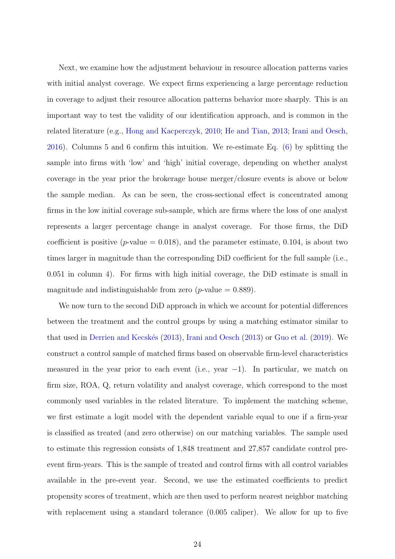Next, we examine how the adjustment behaviour in resource allocation patterns varies with initial analyst coverage. We expect firms experiencing a large percentage reduction in coverage to adjust their resource allocation patterns behavior more sharply. This is an important way to test the validity of our identification approach, and is common in the related literature (e.g., [Hong and Kacperczyk,](#page-33-24) [2010;](#page-33-24) [He and Tian,](#page-33-16) [2013;](#page-33-16) [Irani and Oesch,](#page-33-21) [2016\)](#page-33-21). Columns 5 and 6 confirm this intuition. We re-estimate Eq. [\(6\)](#page-23-1) by splitting the sample into firms with 'low' and 'high' initial coverage, depending on whether analyst coverage in the year prior the brokerage house merger/closure events is above or below the sample median. As can be seen, the cross-sectional effect is concentrated among firms in the low initial coverage sub-sample, which are firms where the loss of one analyst represents a larger percentage change in analyst coverage. For those firms, the DiD coefficient is positive ( $p$ -value = 0.018), and the parameter estimate, 0.104, is about two times larger in magnitude than the corresponding DiD coefficient for the full sample (i.e., 0.051 in column 4). For firms with high initial coverage, the DiD estimate is small in magnitude and indistinguishable from zero (*p*-value  $= 0.889$ ).

We now turn to the second DiD approach in which we account for potential differences between the treatment and the control groups by using a matching estimator similar to that used in Derrien and Kecskés [\(2013\)](#page-33-18), [Irani and Oesch](#page-33-18) (2013) or [Guo et al.](#page-33-17) [\(2019\)](#page-33-17). We construct a control sample of matched firms based on observable firm-level characteristics measured in the year prior to each event (i.e., year  $-1$ ). In particular, we match on firm size, ROA, Q, return volatility and analyst coverage, which correspond to the most commonly used variables in the related literature. To implement the matching scheme, we first estimate a logit model with the dependent variable equal to one if a firm-year is classified as treated (and zero otherwise) on our matching variables. The sample used to estimate this regression consists of 1,848 treatment and 27,857 candidate control preevent firm-years. This is the sample of treated and control firms with all control variables available in the pre-event year. Second, we use the estimated coefficients to predict propensity scores of treatment, which are then used to perform nearest neighbor matching with replacement using a standard tolerance  $(0.005 \text{ caliper})$ . We allow for up to five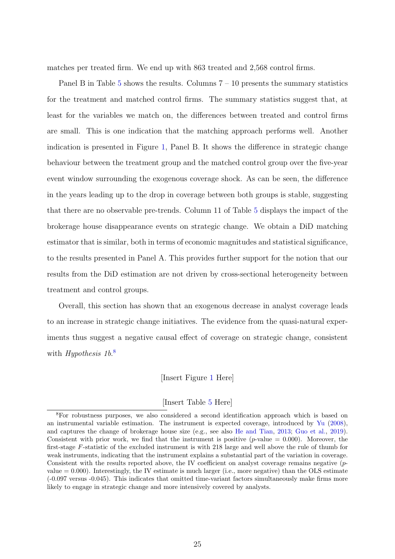matches per treated firm. We end up with 863 treated and 2,568 control firms.

Panel B in Table [5](#page-40-0) shows the results. Columns  $7 - 10$  presents the summary statistics for the treatment and matched control firms. The summary statistics suggest that, at least for the variables we match on, the differences between treated and control firms are small. This is one indication that the matching approach performs well. Another indication is presented in Figure [1,](#page-35-0) Panel B. It shows the difference in strategic change behaviour between the treatment group and the matched control group over the five-year event window surrounding the exogenous coverage shock. As can be seen, the difference in the years leading up to the drop in coverage between both groups is stable, suggesting that there are no observable pre-trends. Column 11 of Table [5](#page-40-0) displays the impact of the brokerage house disappearance events on strategic change. We obtain a DiD matching estimator that is similar, both in terms of economic magnitudes and statistical significance, to the results presented in Panel A. This provides further support for the notion that our results from the DiD estimation are not driven by cross-sectional heterogeneity between treatment and control groups.

Overall, this section has shown that an exogenous decrease in analyst coverage leads to an increase in strategic change initiatives. The evidence from the quasi-natural experiments thus suggest a negative causal effect of coverage on strategic change, consistent with Hypothesis 1b.<sup>[8](#page-25-0)</sup>

[Insert Figure [1](#page-35-0) Here]

#### [Insert Table [5](#page-40-0) Here]

<span id="page-25-0"></span><sup>8</sup>For robustness purposes, we also considered a second identification approach which is based on an instrumental variable estimation. The instrument is expected coverage, introduced by [Yu](#page-34-11) [\(2008\)](#page-34-11), and captures the change of brokerage house size (e.g., see also [He and Tian,](#page-33-16) [2013;](#page-33-16) [Guo et al.,](#page-33-17) [2019\)](#page-33-17). Consistent with prior work, we find that the instrument is positive  $(p$ -value = 0.000). Moreover, the first-stage F-statistic of the excluded instrument is with 218 large and well above the rule of thumb for weak instruments, indicating that the instrument explains a substantial part of the variation in coverage. Consistent with the results reported above, the IV coefficient on analyst coverage remains negative (pvalue  $= 0.000$ ). Interestingly, the IV estimate is much larger (i.e., more negative) than the OLS estimate (-0.097 versus -0.045). This indicates that omitted time-variant factors simultaneously make firms more likely to engage in strategic change and more intensively covered by analysts.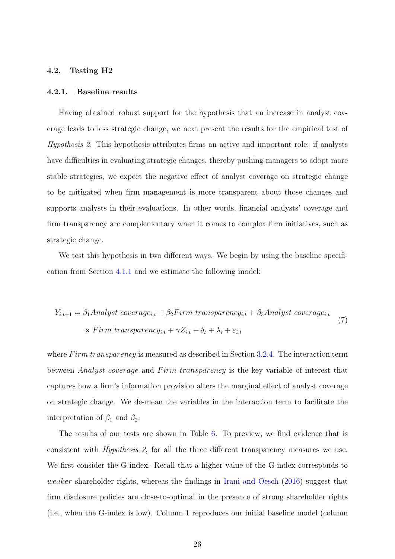# 4.2. Testing H2

#### 4.2.1. Baseline results

Having obtained robust support for the hypothesis that an increase in analyst coverage leads to less strategic change, we next present the results for the empirical test of Hypothesis 2. This hypothesis attributes firms an active and important role: if analysts have difficulties in evaluating strategic changes, thereby pushing managers to adopt more stable strategies, we expect the negative effect of analyst coverage on strategic change to be mitigated when firm management is more transparent about those changes and supports analysts in their evaluations. In other words, financial analysts' coverage and firm transparency are complementary when it comes to complex firm initiatives, such as strategic change.

We test this hypothesis in two different ways. We begin by using the baseline specification from Section [4.1.1](#page-15-0) and we estimate the following model:

$$
Y_{i,t+1} = \beta_1 \text{Analyst coverage}_{i,t} + \beta_2 \text{Firm transparency}_{i,t} + \beta_3 \text{Analyst coverage}_{i,t}
$$
  
× *Firm transparency}\_{i,t} + \gamma Z\_{i,t} + \delta\_t + \lambda\_i + \varepsilon\_{i,t}* (7)

where  $F \, \text{irm}$  transparency is measured as described in Section [3.2.4.](#page-13-2) The interaction term between *Analyst coverage* and Firm transparency is the key variable of interest that captures how a firm's information provision alters the marginal effect of analyst coverage on strategic change. We de-mean the variables in the interaction term to facilitate the interpretation of  $\beta_1$  and  $\beta_2$ .

The results of our tests are shown in Table [6.](#page-41-0) To preview, we find evidence that is consistent with Hypothesis 2, for all the three different transparency measures we use. We first consider the G-index. Recall that a higher value of the G-index corresponds to weaker shareholder rights, whereas the findings in [Irani and Oesch](#page-33-21) [\(2016\)](#page-33-21) suggest that firm disclosure policies are close-to-optimal in the presence of strong shareholder rights (i.e., when the G-index is low). Column 1 reproduces our initial baseline model (column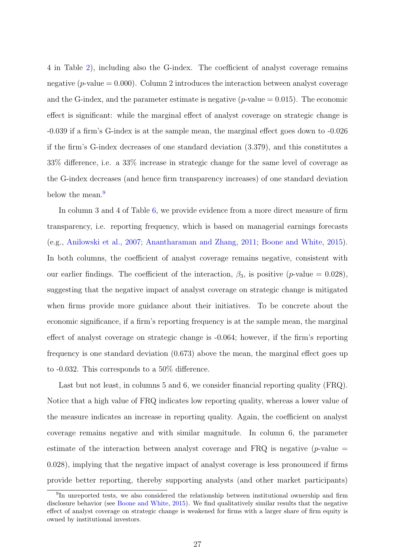4 in Table [2\)](#page-37-0), including also the G-index. The coefficient of analyst coverage remains negative ( $p$ -value = 0.000). Column 2 introduces the interaction between analyst coverage and the G-index, and the parameter estimate is negative ( $p$ -value = 0.015). The economic effect is significant: while the marginal effect of analyst coverage on strategic change is -0.039 if a firm's G-index is at the sample mean, the marginal effect goes down to -0.026 if the firm's G-index decreases of one standard deviation (3.379), and this constitutes a 33% difference, i.e. a 33% increase in strategic change for the same level of coverage as the G-index decreases (and hence firm transparency increases) of one standard deviation below the mean.<sup>[9](#page-27-0)</sup>

In column 3 and 4 of Table [6,](#page-41-0) we provide evidence from a more direct measure of firm transparency, i.e. reporting frequency, which is based on managerial earnings forecasts (e.g., [Anilowski et al.,](#page-32-22) [2007;](#page-32-22) [Anantharaman and Zhang,](#page-32-20) [2011;](#page-32-20) [Boone and White,](#page-32-19) [2015\)](#page-32-19). In both columns, the coefficient of analyst coverage remains negative, consistent with our earlier findings. The coefficient of the interaction,  $\beta_3$ , is positive (p-value = 0.028), suggesting that the negative impact of analyst coverage on strategic change is mitigated when firms provide more guidance about their initiatives. To be concrete about the economic significance, if a firm's reporting frequency is at the sample mean, the marginal effect of analyst coverage on strategic change is -0.064; however, if the firm's reporting frequency is one standard deviation (0.673) above the mean, the marginal effect goes up to -0.032. This corresponds to a 50% difference.

Last but not least, in columns 5 and 6, we consider financial reporting quality (FRQ). Notice that a high value of FRQ indicates low reporting quality, whereas a lower value of the measure indicates an increase in reporting quality. Again, the coefficient on analyst coverage remains negative and with similar magnitude. In column 6, the parameter estimate of the interaction between analyst coverage and FRQ is negative ( $p$ -value  $=$ 0.028), implying that the negative impact of analyst coverage is less pronounced if firms provide better reporting, thereby supporting analysts (and other market participants)

<span id="page-27-0"></span><sup>&</sup>lt;sup>9</sup>In unreported tests, we also considered the relationship between institutional ownership and firm disclosure behavior (see [Boone and White,](#page-32-19) [2015\)](#page-32-19). We find qualitatively similar results that the negative effect of analyst coverage on strategic change is weakened for firms with a larger share of firm equity is owned by institutional investors.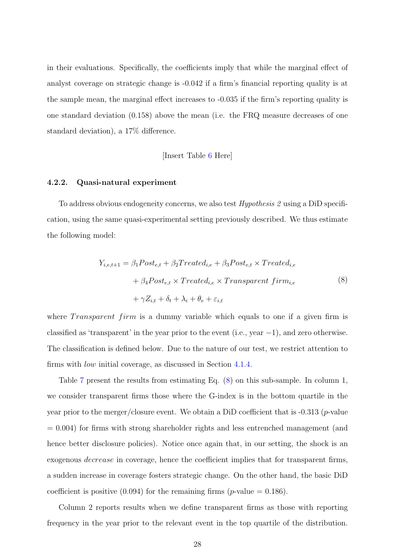in their evaluations. Specifically, the coefficients imply that while the marginal effect of analyst coverage on strategic change is -0.042 if a firm's financial reporting quality is at the sample mean, the marginal effect increases to -0.035 if the firm's reporting quality is one standard deviation (0.158) above the mean (i.e. the FRQ measure decreases of one standard deviation), a 17% difference.

[Insert Table [6](#page-41-0) Here]

#### 4.2.2. Quasi-natural experiment

To address obvious endogeneity concerns, we also test Hypothesis 2 using a DiD specification, using the same quasi-experimental setting previously described. We thus estimate the following model:

<span id="page-28-0"></span>
$$
Y_{i,e,t+1} = \beta_1 Post_{e,t} + \beta_2 Treated_{i,e} + \beta_3 Post_{e,t} \times Treated_{i,e}
$$
  
+  $\beta_4 Post_{e,t} \times Treated_{i,e} \times Transparent firm_{i,e}$   
+  $\gamma Z_{i,t} + \delta_t + \lambda_i + \theta_e + \varepsilon_{i,t}$  (8)

where *Transparent firm* is a dummy variable which equals to one if a given firm is classified as 'transparent' in the year prior to the event (i.e., year  $-1$ ), and zero otherwise. The classification is defined below. Due to the nature of our test, we restrict attention to firms with low initial coverage, as discussed in Section [4.1.4.](#page-20-0)

Table [7](#page-42-0) present the results from estimating Eq. [\(8\)](#page-28-0) on this sub-sample. In column 1, we consider transparent firms those where the G-index is in the bottom quartile in the year prior to the merger/closure event. We obtain a DiD coefficient that is  $-0.313$  (*p*-value  $= 0.004$ ) for firms with strong shareholder rights and less entrenched management (and hence better disclosure policies). Notice once again that, in our setting, the shock is an exogenous decrease in coverage, hence the coefficient implies that for transparent firms, a sudden increase in coverage fosters strategic change. On the other hand, the basic DiD coefficient is positive  $(0.094)$  for the remaining firms (*p*-value = 0.186).

Column 2 reports results when we define transparent firms as those with reporting frequency in the year prior to the relevant event in the top quartile of the distribution.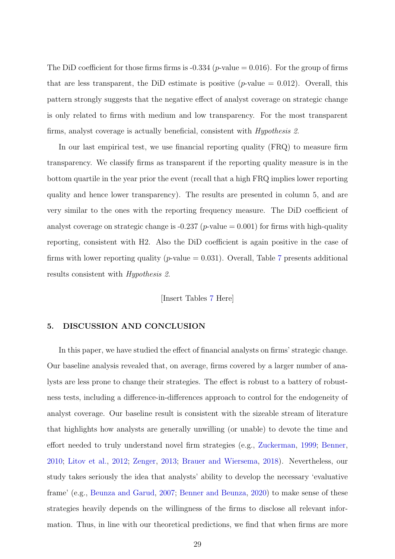The DiD coefficient for those firms firms is  $-0.334$  (*p*-value  $= 0.016$ ). For the group of firms that are less transparent, the DiD estimate is positive (*p*-value  $= 0.012$ ). Overall, this pattern strongly suggests that the negative effect of analyst coverage on strategic change is only related to firms with medium and low transparency. For the most transparent firms, analyst coverage is actually beneficial, consistent with Hypothesis 2.

In our last empirical test, we use financial reporting quality (FRQ) to measure firm transparency. We classify firms as transparent if the reporting quality measure is in the bottom quartile in the year prior the event (recall that a high FRQ implies lower reporting quality and hence lower transparency). The results are presented in column 5, and are very similar to the ones with the reporting frequency measure. The DiD coefficient of analyst coverage on strategic change is -0.237 ( $p$ -value = 0.001) for firms with high-quality reporting, consistent with H2. Also the DiD coefficient is again positive in the case of firms with lower reporting quality ( $p$ -value = 0.031). Overall, Table [7](#page-42-0) presents additional results consistent with Hypothesis 2.

[Insert Tables [7](#page-42-0) Here]

# 5. DISCUSSION AND CONCLUSION

In this paper, we have studied the effect of financial analysts on firms' strategic change. Our baseline analysis revealed that, on average, firms covered by a larger number of analysts are less prone to change their strategies. The effect is robust to a battery of robustness tests, including a difference-in-differences approach to control for the endogeneity of analyst coverage. Our baseline result is consistent with the sizeable stream of literature that highlights how analysts are generally unwilling (or unable) to devote the time and effort needed to truly understand novel firm strategies (e.g., [Zuckerman,](#page-34-3) [1999;](#page-34-3) [Benner,](#page-32-12) [2010;](#page-32-12) [Litov et al.,](#page-33-2) [2012;](#page-33-2) [Zenger,](#page-34-2) [2013;](#page-34-2) [Brauer and Wiersema,](#page-32-5) [2018\)](#page-32-5). Nevertheless, our study takes seriously the idea that analysts' ability to develop the necessary 'evaluative frame' (e.g., [Beunza and Garud,](#page-32-2) [2007;](#page-32-2) [Benner and Beunza,](#page-32-6) [2020\)](#page-32-6) to make sense of these strategies heavily depends on the willingness of the firms to disclose all relevant information. Thus, in line with our theoretical predictions, we find that when firms are more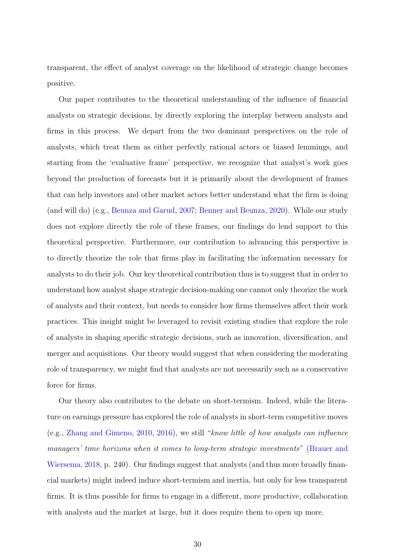transparent, the effect of analyst coverage on the likelihood of strategic change becomes positive.

Our paper contributes to the theoretical understanding of the influence of financial analysts on strategic decisions, by directly exploring the interplay between analysts and firms in this process. We depart from the two dominant perspectives on the role of analysts, which treat them as either perfectly rational actors or biased lemmings, and starting from the 'evaluative frame' perspective, we recognize that analyst's work goes beyond the production of forecasts but it is primarily about the development of frames that can help investors and other market actors better understand what the firm is doing (and will do) (e.g., [Beunza and Garud,](#page-32-2) [2007;](#page-32-2) [Benner and Beunza,](#page-32-6) [2020\)](#page-32-6). While our study does not explore directly the role of these frames, our findings do lend support to this theoretical perspective. Furthermore, our contribution to advancing this perspective is to directly theorize the role that firms play in facilitating the information necessary for analysts to do their job. Our key theoretical contribution thus is to suggest that in order to understand how analyst shape strategic decision-making one cannot only theorize the work of analysts and their context, but needs to consider how firms themselves affect their work practices. This insight might be leveraged to revisit existing studies that explore the role of analysts in shaping specific strategic decisions, such as innovation, diversification, and merger and acquisitions. Our theory would suggest that when considering the moderating role of transparency, we might find that analysts are not necessarily such as a conservative force for firms.

Our theory also contributes to the debate on short-termism. Indeed, while the literature on earnings pressure has explored the role of analysts in short-term competitive moves (e.g., [Zhang and Gimeno,](#page-34-18) [2010,](#page-34-18) [2016\)](#page-34-1), we still "know little of how analysts can influence managers' time horizons when it comes to long-term strategic investments" [\(Brauer and](#page-32-5) [Wiersema,](#page-32-5) [2018,](#page-32-5) p. 240). Our findings suggest that analysts (and thus more broadly financial markets) might indeed induce short-termism and inertia, but only for less transparent firms. It is thus possible for firms to engage in a different, more productive, collaboration with analysts and the market at large, but it does require them to open up more.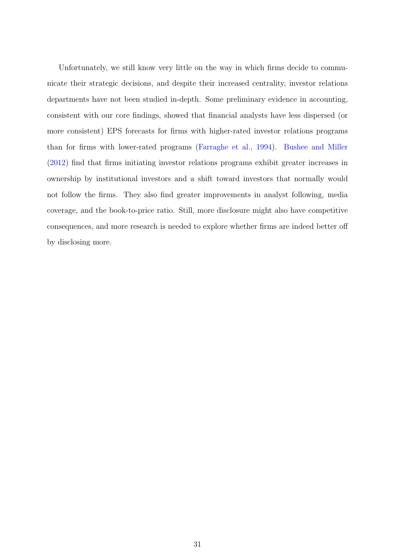Unfortunately, we still know very little on the way in which firms decide to communicate their strategic decisions, and despite their increased centrality, investor relations departments have not been studied in-depth. Some preliminary evidence in accounting, consistent with our core findings, showed that financial analysts have less dispersed (or more consistent) EPS forecasts for firms with higher-rated investor relations programs than for firms with lower-rated programs [\(Farraghe et al.,](#page-33-26) [1994\)](#page-33-26). [Bushee and Miller](#page-32-21) [\(2012\)](#page-32-21) find that firms initiating investor relations programs exhibit greater increases in ownership by institutional investors and a shift toward investors that normally would not follow the firms. They also find greater improvements in analyst following, media coverage, and the book-to-price ratio. Still, more disclosure might also have competitive consequences, and more research is needed to explore whether firms are indeed better off by disclosing more.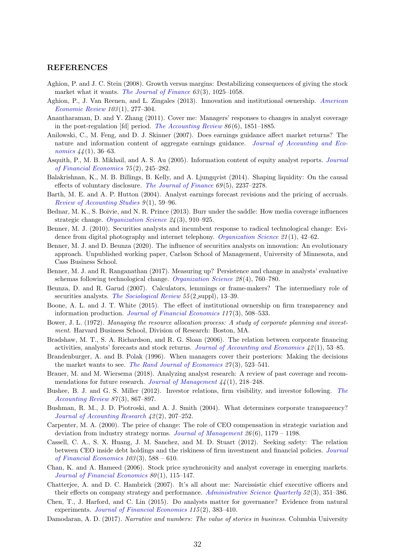#### REFERENCES

- <span id="page-32-1"></span>Aghion, P. and J. C. Stein (2008). Growth versus margins: Destabilizing consequences of giving the stock market what it wants. [The Journal of Finance](https://onlinelibrary.wiley.com/doi/abs/10.1111/j.1540-6261.2008.01351.x)  $63(3)$ , 1025–1058.
- <span id="page-32-7"></span>Aghion, P., J. Van Reenen, and L. Zingales (2013). Innovation and institutional ownership. [American](http://www.aeaweb.org/articles.php?doi=10.1257/aer.103.1.277) [Economic Review](http://www.aeaweb.org/articles.php?doi=10.1257/aer.103.1.277) 103 (1), 277–304.
- <span id="page-32-20"></span>Anantharaman, D. and Y. Zhang (2011). Cover me: Managers' responses to changes in analyst coverage in the post-regulation [fd] period. [The Accounting Review](http://www.jstor.org/stable/41408039)  $86(6)$ , 1851–1885.
- <span id="page-32-22"></span>Anilowski, C., M. Feng, and D. J. Skinner (2007). Does earnings guidance affect market returns? The nature and information content of aggregate earnings guidance. [Journal of Accounting and Eco](https://doi.org/10.1016/j.jacceco.2006.09.002)[nomics](https://doi.org/10.1016/j.jacceco.2006.09.002)  $44(1)$ , 36–63.
- <span id="page-32-0"></span>Asquith, P., M. B. Mikhail, and A. S. Au (2005). Information content of equity analyst reports. [Journal](http://www.sciencedirect.com/science/article/pii/S0304405X04001369) [of Financial Economics](http://www.sciencedirect.com/science/article/pii/S0304405X04001369) 75 (2), 245–282.
- <span id="page-32-23"></span>Balakrishnan, K., M. B. Billings, B. Kelly, and A. Ljungqvist (2014). Shaping liquidity: On the causal effects of voluntary disclosure. [The Journal of Finance](https://onlinelibrary.wiley.com/doi/abs/10.1111/jofi.12180)  $69(5)$ ,  $2237-2278$ .
- <span id="page-32-10"></span>Barth, M. E. and A. P. Hutton (2004). Analyst earnings forecast revisions and the pricing of accruals. [Review of Accounting Studies](https://doi.org/10.1023/B:RAST.0000013629.59222.df) 9 (1), 59–96.
- <span id="page-32-15"></span>Bednar, M. K., S. Boivie, and N. R. Prince (2013). Burr under the saddle: How media coverage influences strategic change. [Organization Science](https://pubsonline.informs.org/doi/abs/10.1287/orsc.1120.0770) 24 (3), 910–925.
- <span id="page-32-12"></span>Benner, M. J. (2010). Securities analysts and incumbent response to radical technological change: Evidence from digital photography and internet telephony. [Organization Science](https://doi.org/10.1287/orsc.1080.0395) 21 (1), 42–62.
- <span id="page-32-6"></span>Benner, M. J. and D. Beunza (2020). The influence of securities analysts on innovation: An evolutionary approach. Unpublished working paper, Carlson School of Management, University of Minnesota, and Cass Business School.
- <span id="page-32-3"></span>Benner, M. J. and R. Ranganathan (2017). Measuring up? Persistence and change in analysts' evaluative schemas following technological change. [Organization Science](https://doi.org/10.1287/orsc.2017.1140) 28 (4), 760–780.
- <span id="page-32-2"></span>Beunza, D. and R. Garud (2007). Calculators, lemmings or frame-makers? The intermediary role of securities analysts. [The Sociological Review](https://doi.org/10.1111/j.1467-954X.2007.00728.x) 55 (2 suppl), 13-39.
- <span id="page-32-19"></span>Boone, A. L. and J. T. White (2015). The effect of institutional ownership on firm transparency and information production. [Journal of Financial Economics](https://doi.org/10.1016/j.jfineco.2015.05.008)  $117(3)$ , 508-533.
- <span id="page-32-8"></span>Bower, J. L. (1972). Managing the resource allocation process: A study of corporate planning and investment. Harvard Business School, Division of Research: Boston, MA.
- <span id="page-32-24"></span>Bradshaw, M. T., S. A. Richardson, and R. G. Sloan (2006). The relation between corporate financing activities, analysts' forecasts and stock returns. [Journal of Accounting and Economics](https://doi.org/10.1016/j.jacceco.2006.03.004) 42 (1), 53–85.
- <span id="page-32-9"></span>Brandenburger, A. and B. Polak (1996). When managers cover their posteriors: Making the decisions the market wants to see. [The Rand Journal of Economics](http://www.jstor.org/stable/2555842)  $27(3)$ , 523–541.
- <span id="page-32-5"></span>Brauer, M. and M. Wiersema (2018). Analyzing analyst research: A review of past coverage and recom-mendations for future research. [Journal of Management](https://doi.org/10.1177/0149206317734900)  $\mu$ <sub>4</sub>(1), 218–248.
- <span id="page-32-21"></span>Bushee, B. J. and G. S. Miller (2012). Investor relations, firm visibility, and investor following. [The](http://www.jstor.org/stable/23245633) [Accounting Review](http://www.jstor.org/stable/23245633) 87(3), 867–897.
- <span id="page-32-13"></span>Bushman, R. M., J. D. Piotroski, and A. J. Smith (2004). What determines corporate transparency? [Journal of Accounting Research](https://doi.org/10.1111/j.1475-679X.2004.00136.x) 42 (2), 207–252.
- <span id="page-32-16"></span>Carpenter, M. A. (2000). The price of change: The role of CEO compensation in strategic variation and deviation from industry strategy norms. [Journal of Management](http://www.sciencedirect.com/science/article/pii/S0149206300000787)  $26(6)$ , 1179 – 1198.
- <span id="page-32-18"></span>Cassell, C. A., S. X. Huang, J. M. Sanchez, and M. D. Stuart (2012). Seeking safety: The relation between CEO inside debt holdings and the riskiness of firm investment and financial policies. [Journal](http://www.sciencedirect.com/science/article/pii/S0304405X11002406) [of Financial Economics](http://www.sciencedirect.com/science/article/pii/S0304405X11002406)  $103(3)$ , 588 – 610.
- <span id="page-32-17"></span>Chan, K. and A. Hameed (2006). Stock price synchronicity and analyst coverage in emerging markets. [Journal of Financial Economics](http://www.sciencedirect.com/science/article/pii/S0304405X05001741) 80(1), 115-147.
- <span id="page-32-14"></span>Chatterjee, A. and D. C. Hambrick (2007). It's all about me: Narcissistic chief executive officers and their effects on company strategy and performance. [Administrative Science Quarterly](https://doi.org/10.2189/asqu.52.3.351) 52(3), 351–386.
- <span id="page-32-11"></span>Chen, T., J. Harford, and C. Lin (2015). Do analysts matter for governance? Evidence from natural experiments. [Journal of Financial Economics](https://doi.org/10.1016/j.jfineco.2014.10.002) 115(2), 383-410.
- <span id="page-32-4"></span>Damodaran, A. D. (2017). *Narrative and numbers: The value of stories in business*. Columbia University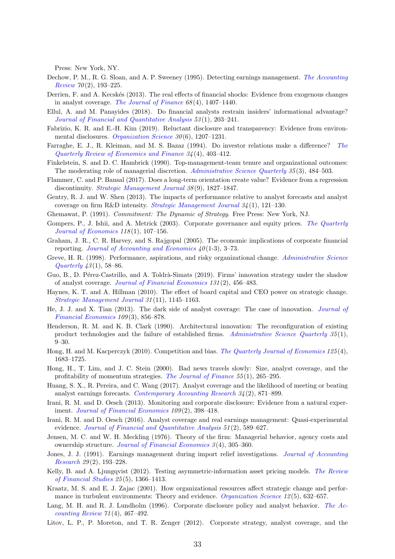Press: New York, NY.

- <span id="page-33-23"></span>Dechow, P. M., R. G. Sloan, and A. P. Sweeney (1995). Detecting earnings management. [The Accounting](http://www.jstor.org/stable/248303)  $Review 70(2), 193-225.$  $Review 70(2), 193-225.$
- <span id="page-33-12"></span>Derrien, F. and A. Kecskés (2013). The real effects of financial shocks: Evidence from exogenous changes in analyst coverage. [The Journal of Finance](https://onlinelibrary.wiley.com/doi/abs/10.1111/jofi.12042)  $68(4)$ , 1407–1440.
- <span id="page-33-11"></span>Ellul, A. and M. Panayides (2018). Do financial analysts restrain insiders' informational advantage? [Journal of Financial and Quantitative Analysis](https://doi.org/10.1017/S0022109017000990) 53 (1), 203–241.
- <span id="page-33-14"></span>Fabrizio, K. R. and E.-H. Kim (2019). Reluctant disclosure and transparency: Evidence from environ-mental disclosures. [Organization Science](https://doi.org/10.1287/orsc.2019.1298) 30(6), 1207-1231.
- <span id="page-33-26"></span>Farraghe, E. J., R. Kleiman, and M. S. Bazaz (1994). Do investor relations make a difference? [The](https://doi.org/10.1016/1062-9769(94)90023-X) [Quarterly Review of Economics and Finance](https://doi.org/10.1016/1062-9769(94)90023-X) 34 (4), 403–412.
- <span id="page-33-3"></span>Finkelstein, S. and D. C. Hambrick (1990). Top-management-team tenure and organizational outcomes: The moderating role of managerial discretion. [Administrative Science Quarterly](http://www.jstor.org/stable/2393314) 35(3), 484–503.
- <span id="page-33-8"></span>Flammer, C. and P. Bansal (2017). Does a long-term orientation create value? Evidence from a regression discontinuity. *[Strategic Management Journal](https://doi.org/10.1002/smj.2629) 38*(9), 1827–1847.
- <span id="page-33-1"></span>Gentry, R. J. and W. Shen (2013). The impacts of performance relative to analyst forecasts and analyst coverage on firm R&D intensity. [Strategic Management Journal](https://doi.org/10.1002/smj.1997) 34 (1), 121–130.
- <span id="page-33-5"></span>Ghemawat, P. (1991). Commitment: The Dynamic of Strategy. Free Press: New York, NJ.
- <span id="page-33-19"></span>Gompers, P., J. Ishii, and A. Metrick (2003). Corporate governance and equity prices. [The Quarterly](https://doi.org/10.1162/00335530360535162) [Journal of Economics](https://doi.org/10.1162/00335530360535162) 118(1), 107-156.
- <span id="page-33-10"></span>Graham, J. R., C. R. Harvey, and S. Rajgopal (2005). The economic implications of corporate financial reporting. [Journal of Accounting and Economics](http://www.sciencedirect.com/science/article/pii/S0165410105000571)  $40(1-3)$ , 3-73.
- <span id="page-33-9"></span>Greve, H. R. (1998). Performance, aspirations, and risky organizational change. [Administrative Science](http://www.jstor.org/stable/2393591) [Quarterly](http://www.jstor.org/stable/2393591)  $43(1)$ , 58–86.
- <span id="page-33-17"></span>Guo, B., D. Pérez-Castrillo, and A. Toldrà-Simats (2019). Firms' innovation strategy under the shadow of analyst coverage. [Journal of Financial Economics](https://doi.org/10.1016/j.jfineco.2018.08.005) 131 (2), 456–483.
- <span id="page-33-4"></span>Haynes, K. T. and A. Hillman (2010). The effect of board capital and CEO power on strategic change. [Strategic Management Journal](https://onlinelibrary.wiley.com/doi/abs/10.1002/smj.859) 31 (11), 1145–1163.
- <span id="page-33-16"></span>He, J. J. and X. Tian (2013). The dark side of analyst coverage: The case of innovation. [Journal of](http://www.sciencedirect.com/science/article/pii/S0304405X13001086) [Financial Economics](http://www.sciencedirect.com/science/article/pii/S0304405X13001086) 109 (3), 856–878.
- <span id="page-33-7"></span>Henderson, R. M. and K. B. Clark (1990). Architectural innovation: The reconfiguration of existing product technologies and the failure of established firms. [Administrative Science Quarterly](http://www.jstor.org/stable/2393549)  $35(1)$ , 9–30.
- <span id="page-33-24"></span>Hong, H. and M. Kacperczyk (2010). Competition and bias. [The Quarterly Journal of Economics](http://dx.doi.org/10.1162/qjec.2010.125.4.1683) 125 (4), 1683–1725.
- <span id="page-33-13"></span>Hong, H., T. Lim, and J. C. Stein (2000). Bad news travels slowly: Size, analyst coverage, and the profitability of momentum strategies. [The Journal of Finance](https://onlinelibrary.wiley.com/doi/abs/10.1111/0022-1082.00206) 55(1), 265–295.
- <span id="page-33-15"></span>Huang, S. X., R. Pereira, and C. Wang (2017). Analyst coverage and the likelihood of meeting or beating analyst earnings forecasts. [Contemporary Accounting Research](https://doi.org/10.1111/1911-3846.12289) 34 (2), 871–899.
- <span id="page-33-18"></span>Irani, R. M. and D. Oesch (2013). Monitoring and corporate disclosure: Evidence from a natural exper-iment. [Journal of Financial Economics](http://www.sciencedirect.com/science/article/pii/S0304405X13000640) 109(2), 398-418.
- <span id="page-33-21"></span>Irani, R. M. and D. Oesch (2016). Analyst coverage and real earnings management: Quasi-experimental evidence. [Journal of Financial and Quantitative Analysis](https://doi.org/10.1017/S0022109016000156) 51(2), 589–627.
- <span id="page-33-0"></span>Jensen, M. C. and W. H. Meckling (1976). Theory of the firm: Managerial behavior, agency costs and ownership structure. [Journal of Financial Economics](https://doi.org/10.1016/0304-405X(76)90026-X) 3 (4), 305–360.
- <span id="page-33-22"></span>Jones, J. J. (1991). Earnings management during import relief investigations. [Journal of Accounting](http://www.jstor.org/stable/2491047) [Research](http://www.jstor.org/stable/2491047)  $29(2)$ , 193-228.
- <span id="page-33-25"></span>Kelly, B. and A. Ljungqvist (2012). Testing asymmetric-information asset pricing models. [The Review](http://dx.doi.org/10.1093/rfs/hhr134) [of Financial Studies](http://dx.doi.org/10.1093/rfs/hhr134) 25 (5), 1366–1413.
- <span id="page-33-6"></span>Kraatz, M. S. and E. J. Zajac (2001). How organizational resources affect strategic change and performance in turbulent environments: Theory and evidence. *[Organization Science](https://doi.org/10.1287/orsc.12.5.632.10088) 12*(5), 632–657.
- <span id="page-33-20"></span>Lang, M. H. and R. J. Lundholm (1996). Corporate disclosure policy and analyst behavior. [The Ac](http://www.jstor.org/stable/248567)[counting Review](http://www.jstor.org/stable/248567) 71 (4), 467–492.
- <span id="page-33-2"></span>Litov, L. P., P. Moreton, and T. R. Zenger (2012). Corporate strategy, analyst coverage, and the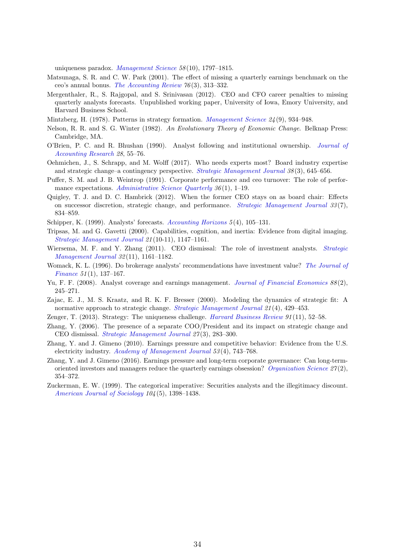uniqueness paradox. [Management Science](https://doi.org/10.1287/mnsc.1120.1530) 58 (10), 1797–1815.

- <span id="page-34-4"></span>Matsunaga, S. R. and C. W. Park (2001). The effect of missing a quarterly earnings benchmark on the ceo's annual bonus. [The Accounting Review](http://www.jstor.org/stable/3068938) 76 (3), 313–332.
- <span id="page-34-5"></span>Mergenthaler, R., S. Rajgopal, and S. Srinivasan (2012). CEO and CFO career penalties to missing quarterly analysts forecasts. Unpublished working paper, University of Iowa, Emory University, and Harvard Business School.
- <span id="page-34-8"></span>Mintzberg, H. (1978). Patterns in strategy formation. [Management Science](https://doi.org/10.1287/mnsc.24.9.934) 24 (9), 934–948.
- <span id="page-34-7"></span>Nelson, R. R. and S. G. Winter (1982). An Evolutionary Theory of Economic Change. Belknap Press: Cambridge, MA.
- <span id="page-34-17"></span>O'Brien, P. C. and R. Bhushan (1990). Analyst following and institutional ownership. [Journal of](http://www.jstor.org/stable/2491247) [Accounting Research](http://www.jstor.org/stable/2491247) 28, 55–76.
- <span id="page-34-16"></span>Oehmichen, J., S. Schrapp, and M. Wolff (2017). Who needs experts most? Board industry expertise and strategic change–a contingency perspective. *[Strategic Management Journal](https://onlinelibrary.wiley.com/doi/abs/10.1002/smj.2513)*  $38(3)$ ,  $645-656$ .
- <span id="page-34-12"></span>Puffer, S. M. and J. B. Weintrop (1991). Corporate performance and ceo turnover: The role of perfor-mance expectations. [Administrative Science Quarterly](http://www.jstor.org/stable/2393427) 36(1), 1–19.
- <span id="page-34-15"></span>Quigley, T. J. and D. C. Hambrick (2012). When the former CEO stays on as board chair: Effects on successor discretion, strategic change, and performance. *[Strategic Management Journal](https://onlinelibrary.wiley.com/doi/abs/10.1002/smj.1945)*  $33(7)$ , 834–859.
- <span id="page-34-0"></span>Schipper, K. (1999). Analysts' forecasts. [Accounting Horizons](https://aaajournals.org/loi/acch) 5 (4), 105–131.
- <span id="page-34-9"></span>Tripsas, M. and G. Gavetti (2000). Capabilities, cognition, and inertia: Evidence from digital imaging. [Strategic Management Journal](https://doi.org/10.1002/1097-0266(200010/11)21:10/11<1147::AID-SMJ128>3.0.CO;2-R) 21 (10-11), 1147–1161.
- <span id="page-34-13"></span>Wiersema, M. F. and Y. Zhang (2011). CEO dismissal: The role of investment analysts. [Strategic](https://onlinelibrary.wiley.com/doi/abs/10.1002/smj.932) [Management Journal](https://onlinelibrary.wiley.com/doi/abs/10.1002/smj.932) 32 (11), 1161–1182.
- <span id="page-34-10"></span>Womack, K. L. (1996). Do brokerage analysts' recommendations have investment value? [The Journal of](http://www.jstor.org/stable/2329305) [Finance](http://www.jstor.org/stable/2329305) 51 (1), 137–167.
- <span id="page-34-11"></span>Yu, F. F. (2008). Analyst coverage and earnings management. [Journal of Financial Economics](https://doi.org/10.1016/j.jfineco.2007.05.008)  $88(2)$ , 245–271.
- <span id="page-34-6"></span>Zajac, E. J., M. S. Kraatz, and R. K. F. Bresser (2000). Modeling the dynamics of strategic fit: A normative approach to strategic change. [Strategic Management Journal](http://www.jstor.org/stable/3094237) 21(4), 429-453.
- <span id="page-34-2"></span>Zenger, T. (2013). Strategy: The uniqueness challenge. [Harvard Business Review](https://hbr.org/2013/11/strategy-the-uniqueness-challenge) 91 (11), 52–58.
- <span id="page-34-14"></span>Zhang, Y. (2006). The presence of a separate COO/President and its impact on strategic change and CEO dismissal. [Strategic Management Journal](https://onlinelibrary.wiley.com/doi/abs/10.1002/smj.517) 27 (3), 283–300.
- <span id="page-34-18"></span>Zhang, Y. and J. Gimeno (2010). Earnings pressure and competitive behavior: Evidence from the U.S. electricity industry. [Academy of Management Journal](https://doi.org/10.5465/amj.2010.52814593) 53 (4), 743–768.
- <span id="page-34-1"></span>Zhang, Y. and J. Gimeno (2016). Earnings pressure and long-term corporate governance: Can long-term-oriented investors and managers reduce the quarterly earnings obsession? [Organization Science](https://doi.org/10.1287/orsc.2016.1056)  $27(2)$ , 354–372.
- <span id="page-34-3"></span>Zuckerman, E. W. (1999). The categorical imperative: Securities analysts and the illegitimacy discount. [American Journal of Sociology](http://www.jstor.org/stable/10.1086/210178) 104 (5), 1398–1438.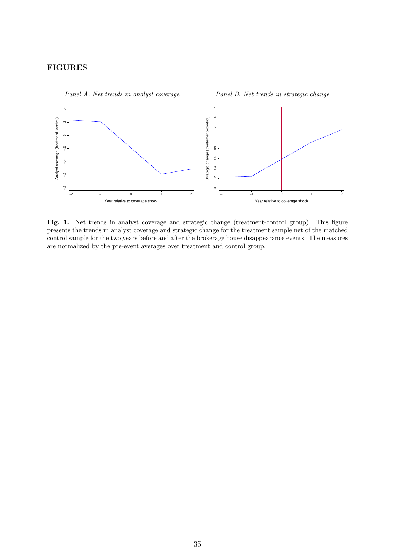# FIGURES

<span id="page-35-0"></span>

Panel A. Net trends in analyst coverage

Fig. 1. Net trends in analyst coverage and strategic change (treatment-control group). This figure presents the trends in analyst coverage and strategic change for the treatment sample net of the matched control sample for the two years before and after the brokerage house disappearance events. The measures are normalized by the pre-event averages over treatment and control group.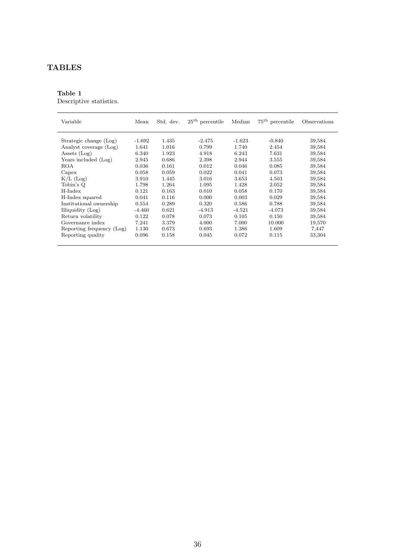# TABLES

# <span id="page-36-0"></span>Table 1

Descriptive statistics.

| Variable                  | Mean     | Std. dev. | $25th$ percentile | Median   | $75th$ percentile | Observations |
|---------------------------|----------|-----------|-------------------|----------|-------------------|--------------|
| Strategic change (Log)    | $-1.692$ | 1.435     | $-2.475$          | $-1.623$ | $-0.840$          | 39,584       |
| Analyst coverage (Log)    | 1.641    | 1.016     | 0.799             | 1.740    | 2.454             | 39,584       |
| Assets $(Log)$            | 6.340    | 1.923     | 4.918             | 6.243    | 7.631             | 39,584       |
| Years included (Log)      | 2.945    | 0.686     | 2.398             | 2.944    | 3.555             | 39,584       |
| <b>ROA</b>                | 0.036    | 0.161     | 0.012             | 0.046    | 0.085             | 39,584       |
| Capex                     | 0.058    | 0.059     | 0.022             | 0.041    | 0.073             | 39,584       |
| $K/L$ (Log)               | 3.910    | 1.445     | 3.016             | 3.653    | 4.503             | 39,584       |
| Tobin's Q                 | 1.798    | 1.264     | 1.095             | 1.428    | 2.052             | 39,584       |
| H-Index                   | 0.121    | 0.163     | 0.010             | 0.058    | 0.170             | 39,584       |
| H-Index squared           | 0.041    | 0.116     | 0.000             | 0.003    | 0.029             | 39,584       |
| Institutional ownership   | 0.554    | 0.289     | 0.320             | 0.586    | 0.788             | 39,584       |
| Illiquidity (Log)         | $-4.460$ | 0.621     | $-4.913$          | -4.521   | -4.073            | 39,584       |
| Return volatility         | 0.122    | 0.078     | 0.073             | 0.105    | 0.150             | 39,584       |
| Governance index          | 7.241    | 3.379     | 4.000             | 7.000    | 10.000            | 19,570       |
| Reporting frequency (Log) | 1.130    | 0.673     | 0.693             | 1.386    | 1.609             | 7,447        |
| Reporting quality         | 0.096    | 0.158     | 0.045             | 0.072    | 0.115             | 33,304       |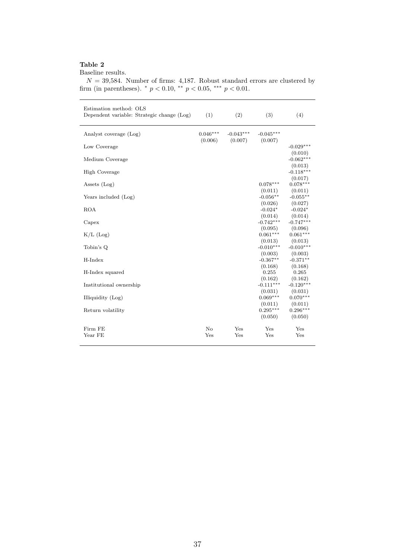<span id="page-37-0"></span>Baseline results.

| $N = 39,584$ . Number of firms: 4,187. Robust standard errors are clustered by |  |
|--------------------------------------------------------------------------------|--|
| firm (in parentheses). * $p < 0.10$ , ** $p < 0.05$ , *** $p < 0.01$ .         |  |
|                                                                                |  |

| Estimation method: OLS<br>Dependent variable: Strategic change (Log) | (1)                   | (2)                    | (3)                              | (4)                              |
|----------------------------------------------------------------------|-----------------------|------------------------|----------------------------------|----------------------------------|
| Analyst coverage (Log)                                               | $0.046***$<br>(0.006) | $-0.043***$<br>(0.007) | $-0.045***$<br>(0.007)           |                                  |
| Low Coverage                                                         |                       |                        |                                  | $-0.029***$                      |
| Medium Coverage                                                      |                       |                        |                                  | (0.010)<br>$-0.062***$           |
| <b>High Coverage</b>                                                 |                       |                        |                                  | (0.013)<br>$-0.118***$           |
| Assets $(Log)$                                                       |                       |                        | $0.078***$                       | (0.017)<br>$0.078***$            |
| Years included (Log)                                                 |                       |                        | (0.011)<br>$-0.056**$            | (0.011)<br>$-0.055**$            |
| <b>ROA</b>                                                           |                       |                        | (0.026)<br>$-0.024*$             | (0.027)<br>$-0.024*$             |
| Capex                                                                |                       |                        | (0.014)<br>$-0.742***$           | (0.014)<br>$-0.747***$           |
| $K/L$ (Log)                                                          |                       |                        | (0.095)<br>$0.061***$            | (0.096)<br>$0.061***$            |
| Tobin's Q                                                            |                       |                        | (0.013)<br>$-0.010***$           | (0.013)<br>$-0.010***$           |
| H-Index                                                              |                       |                        | (0.003)<br>$-0.367**$            | (0.003)<br>$-0.371**$            |
| H-Index squared                                                      |                       |                        | (0.168)<br>0.255                 | (0.168)<br>0.265                 |
| Institutional ownership                                              |                       |                        | (0.162)<br>$-0.111***$           | (0.162)<br>$-0.120***$           |
| Illiquidity (Log)                                                    |                       |                        | (0.031)<br>$0.069***$            | (0.031)<br>$0.070***$            |
| Return volatility                                                    |                       |                        | (0.011)<br>$0.295***$<br>(0.050) | (0.011)<br>$0.296***$<br>(0.050) |
| Firm FE<br>Year FE                                                   | $\rm No$<br>Yes       | Yes<br>Yes             | Yes<br>Yes                       | Yes<br>Yes                       |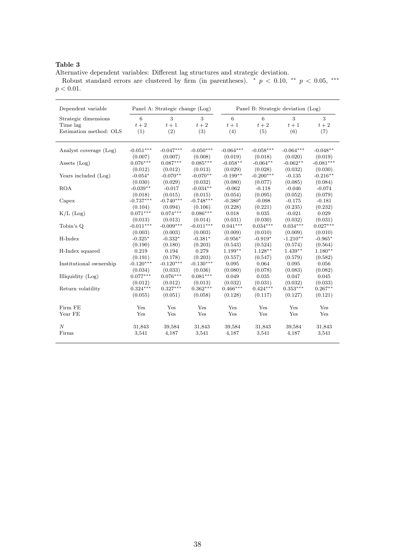<span id="page-38-0"></span>Alternative dependent variables: Different lag structures and strategic deviation.

Robust standard errors are clustered by firm (in parentheses).  $* p < 0.10, ** p < 0.05, **$  $p < 0.01.$ 

| Dependent variable      | Panel A: Strategic change (Log) |             |             | Panel B: Strategic deviation (Log) |             |             |             |  |  |  |  |  |
|-------------------------|---------------------------------|-------------|-------------|------------------------------------|-------------|-------------|-------------|--|--|--|--|--|
| Strategic dimensions    | 6                               | 3           | 3           | 6                                  | 6           | 3           | 3           |  |  |  |  |  |
| Time lag                | $t+2$                           | $t+1$       | $t+2$       | $t+1$                              | $t+2$       | $t+1$       | $t+2$       |  |  |  |  |  |
| Estimation method: OLS  | (1)                             | (2)         | (3)         | (4)                                | (5)         | (6)         | (7)         |  |  |  |  |  |
| Analyst coverage (Log)  | $-0.051***$                     | $-0.047***$ | $-0.050***$ | $-0.064***$                        | $-0.058***$ | $-0.064***$ | $-0.048**$  |  |  |  |  |  |
|                         | (0.007)                         | (0.007)     | (0.008)     | (0.019)                            | (0.018)     | (0.020)     | (0.019)     |  |  |  |  |  |
| Assets $(Log)$          | $0.076***$                      | $0.087***$  | $0.085***$  | $-0.058**$                         | $-0.064**$  | $-0.062**$  | $-0.081***$ |  |  |  |  |  |
|                         | (0.012)                         | (0.012)     | (0.013)     | (0.029)                            | (0.028)     | (0.032)     | (0.030)     |  |  |  |  |  |
| Years included (Log)    | $-0.054*$                       | $-0.070**$  | $-0.070**$  | $-0.199**$                         | $-0.200***$ | $-0.135$    | $-0.216**$  |  |  |  |  |  |
|                         | (0.030)                         | (0.029)     | (0.032)     | (0.080)                            | (0.077)     | (0.085)     | (0.084)     |  |  |  |  |  |
| <b>ROA</b>              | $-0.039**$                      | $-0.017$    | $-0.034**$  | $-0.062$                           | $-0.118$    | $-0.046$    | $-0.074$    |  |  |  |  |  |
|                         | (0.018)                         | (0.015)     | (0.015)     | (0.054)                            | (0.095)     | (0.052)     | (0.079)     |  |  |  |  |  |
| Capex                   | $-0.737***$                     | $-0.740***$ | $-0.748***$ | $-0.380*$                          | $-0.098$    | $-0.175$    | $-0.181$    |  |  |  |  |  |
|                         | (0.104)                         | (0.094)     | (0.106)     | (0.228)                            | (0.221)     | (0.235)     | (0.232)     |  |  |  |  |  |
| $K/L$ (Log)             | $0.071***$                      | $0.074***$  | $0.086***$  | 0.018                              | 0.035       | $-0.021$    | 0.029       |  |  |  |  |  |
|                         | (0.013)                         | (0.013)     | (0.014)     | (0.031)                            | (0.030)     | (0.032)     | (0.031)     |  |  |  |  |  |
| Tobin's Q               | $-0.011***$                     | $-0.009***$ | $-0.011***$ | $0.041***$                         | $0.034***$  | $0.034***$  | $0.027***$  |  |  |  |  |  |
|                         | (0.003)                         | (0.003)     | (0.003)     | (0.009)                            | (0.010)     | (0.009)     | (0.010)     |  |  |  |  |  |
| H-Index                 | $-0.325*$                       | $-0.332*$   | $-0.381*$   | $-0.956*$                          | $-0.919*$   | $-1.210**$  | $-0.965*$   |  |  |  |  |  |
|                         | (0.190)                         | (0.180)     | (0.203)     | (0.543)                            | (0.524)     | (0.574)     | (0.564)     |  |  |  |  |  |
| H-Index squared         | 0.219                           | 0.194       | 0.279       | $1.199**$                          | $1.128**$   | $1.439**$   | $1.180**$   |  |  |  |  |  |
|                         | (0.191)                         | (0.178)     | (0.203)     | (0.557)                            | (0.547)     | (0.579)     | (0.582)     |  |  |  |  |  |
| Institutional ownership | $-0.120***$                     | $-0.120***$ | $-0.130***$ | 0.095                              | 0.064       | 0.095       | 0.056       |  |  |  |  |  |
|                         | (0.034)                         | (0.033)     | (0.036)     | (0.080)                            | (0.078)     | (0.083)     | (0.082)     |  |  |  |  |  |
| Illiquidity (Log)       | $0.077***$                      | $0.076***$  | $0.081***$  | 0.049                              | 0.035       | 0.047       | 0.045       |  |  |  |  |  |
|                         | (0.012)                         | (0.012)     | (0.013)     | (0.032)                            | (0.031)     | (0.032)     | (0.033)     |  |  |  |  |  |
| Return volatility       | $0.324***$                      | $0.327***$  | $0.362***$  | $0.466***$                         | $0.424***$  | $0.353***$  | $0.267**$   |  |  |  |  |  |
|                         | (0.055)                         | (0.051)     | (0.058)     | (0.128)                            | (0.117)     | (0.127)     | (0.121)     |  |  |  |  |  |
| Firm FE                 | Yes                             | Yes         | Yes         | Yes                                | Yes         | Yes         | Yes         |  |  |  |  |  |
| Year FE                 | Yes                             | Yes         | Yes         | Yes                                | Yes         | Yes         | Yes         |  |  |  |  |  |
| $\cal N$                | 31,843                          | 39,584      | 31,843      | 39,584                             | 31,843      | 39,584      | 31,843      |  |  |  |  |  |
| Firms                   | 3,541                           | 4,187       | 3,541       | 4,187                              | 3,541       | 4,187       | 3,541       |  |  |  |  |  |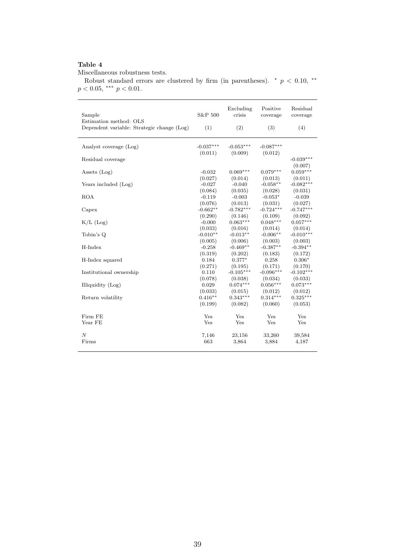<span id="page-39-0"></span>Miscellaneous robustness tests.

Robust standard errors are clustered by firm (in parentheses).  $*$  p < 0.10, \*\*  $p < 0.05$ , \*\*\*  $p < 0.01$ .

| Sample<br>Estimation method: OLS<br>Dependent variable: Strategic change (Log) | S&P 500<br>(1) | Excluding<br>crisis<br>(2) | Positive<br>coverage<br>(3) | Residual<br>coverage<br>(4) |
|--------------------------------------------------------------------------------|----------------|----------------------------|-----------------------------|-----------------------------|
| Analyst coverage (Log)                                                         | $-0.037***$    | $-0.053***$                | $-0.087***$                 |                             |
|                                                                                | (0.011)        | (0.009)                    | (0.012)                     |                             |
| Residual coverage                                                              |                |                            |                             | $-0.039***$                 |
|                                                                                |                |                            |                             | (0.007)                     |
| Assets $(Log)$                                                                 | $-0.032$       | $0.069***$                 | $0.079***$                  | $0.059***$                  |
|                                                                                | (0.027)        | (0.014)                    | (0.013)                     | (0.011)                     |
| Years included (Log)                                                           | $-0.027$       | $-0.040$                   | $-0.058**$                  | $-0.082***$                 |
|                                                                                | (0.084)        | (0.035)                    | (0.028)                     | (0.031)                     |
| <b>ROA</b>                                                                     | $-0.119$       | $-0.003$                   | $-0.053*$                   | $-0.039$                    |
|                                                                                | (0.076)        | (0.013)                    | (0.031)                     | (0.027)                     |
| Capex                                                                          | $-0.662**$     | $-0.782***$                | $-0.724***$                 | $-0.747***$                 |
|                                                                                | (0.290)        | (0.146)                    | (0.109)                     | (0.092)                     |
| $K/L$ (Log)                                                                    | $-0.000$       | $0.063***$                 | $0.048***$                  | $0.057***$                  |
|                                                                                | (0.033)        | (0.016)                    | (0.014)                     | (0.014)                     |
| Tobin's Q                                                                      | $-0.010**$     | $-0.013**$                 | $-0.006**$                  | $-0.010***$                 |
|                                                                                | (0.005)        | (0.006)                    | (0.003)                     | (0.003)                     |
| H-Index                                                                        | $-0.258$       | $-0.469**$                 | $-0.387**$                  | $-0.394**$                  |
|                                                                                | (0.319)        | (0.202)                    | (0.183)                     | (0.172)                     |
| H-Index squared                                                                | 0.184          | $0.377*$                   | 0.258                       | $0.306*$                    |
|                                                                                | (0.271)        | (0.195)                    | (0.171)                     | (0.170)                     |
| Institutional ownership                                                        | 0.110          | $-0.105***$                | $-0.096***$                 | $-0.102***$                 |
|                                                                                | (0.078)        | (0.038)                    | (0.034)                     | (0.033)                     |
| Illiquidity (Log)                                                              | 0.029          | $0.074***$                 | $0.056***$                  | $0.073***$                  |
|                                                                                | (0.033)        | (0.015)                    | (0.012)                     | (0.012)                     |
| Return volatility                                                              | $0.416**$      | $0.343***$                 | $0.314***$                  | $0.325***$                  |
|                                                                                | (0.199)        | (0.082)                    | (0.060)                     | (0.053)                     |
| Firm FE                                                                        | Yes            | Yes                        | Yes                         | Yes                         |
| Year FE                                                                        | Yes            | Yes                        | Yes                         | Yes                         |
|                                                                                |                |                            |                             |                             |
| $\overline{N}$                                                                 | 7,146          | 23,156                     | 33,260                      | 39,584                      |
| Firms                                                                          | 663            | 3,864                      | 3,884                       | 4,187                       |
|                                                                                |                |                            |                             |                             |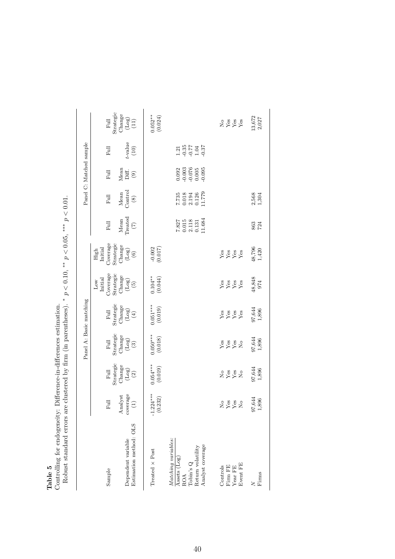| ۱O |  |
|----|--|
| Φ  |  |
| o  |  |
| ದ  |  |

Table 5<br>Controlling for endogeneity: Difference-in-differences estimation.<br>Robust standard errors are clustered by firm (in parentheses). \*  $p < 0.10$ . \*\*  $p < 0.05$ . \*\*\*  $p < 0.01$ . Controlling for endogeneity: Difference-in-differences estimation.

<span id="page-40-0"></span>

|                                                                                                  |                                                                          |                                                                                  |                                                                                                     | Panel A: Basic matching                                                                                         |                                                                            |                                                                                  |                                                       |                                                                                | Panel C: Matched sample                                                       |                                         |                                                                       |
|--------------------------------------------------------------------------------------------------|--------------------------------------------------------------------------|----------------------------------------------------------------------------------|-----------------------------------------------------------------------------------------------------|-----------------------------------------------------------------------------------------------------------------|----------------------------------------------------------------------------|----------------------------------------------------------------------------------|-------------------------------------------------------|--------------------------------------------------------------------------------|-------------------------------------------------------------------------------|-----------------------------------------|-----------------------------------------------------------------------|
| Sample                                                                                           | $_{\rm{Full}}$                                                           | Full<br>Strategic                                                                | $\begin{array}{c} \mbox{Full} \\ \mbox{Strategies} \\ \mbox{Change} \\ \mbox{(Log)} \\ \end{array}$ | $\begin{array}{c} \mbox{Full}\\ \mbox{Strategies}\\ \mbox{Change}\\ \mbox{Change}\\ \mbox{(Log)}\\ \end{array}$ | Coverage<br>Strategic<br>Initial<br>$_{\rm Low}$                           | Strategic<br>Coverage<br>$_{\rm High}^{\rm High}$                                | Mean<br>Treated<br>$_{\rm{Full}}$                     | $\begin{array}{c} \text{Mean} \\ \text{Control} \end{array}$<br>$_{\rm{Full}}$ | Mean<br>Diff.<br>Full                                                         | $_{\rm{Full}}$                          | Full<br>Strategic                                                     |
| Estimation method: OLS<br>Dependent variable                                                     | $\begin{array}{c} \text{Analysis} \\ \text{coverage} \\ (1) \end{array}$ | $\begin{array}{c} \mathrm{Change} \\ \mathrm{(Log)} \\ \mathrm{(2)} \end{array}$ |                                                                                                     |                                                                                                                 | $\begin{array}{c} \text{Change} \\ \text{(Log)} \\ \text{(5)} \end{array}$ | $\begin{array}{c} \mathrm{Change} \\ \mathrm{(Log)} \\ \mathrm{(6)} \end{array}$ | $\widehat{C}$                                         | $\circledast$                                                                  | $\textcircled{\scriptsize{0}}$                                                | $t\mbox{-value} \atop (10)$             | $\begin{array}{c} \rm{Change} \\ \rm{(Log)} \\ \rm{(11)} \end{array}$ |
| Treated x Post                                                                                   | $-1.224***$<br>(0.232)                                                   | $0.054***$<br>(0.019)                                                            | $0.050***$<br>(0.018)                                                                               | $0.051***$<br>(0.019)                                                                                           | $0.104**$<br>(0.044)                                                       | $-0.002$<br>(0.017)                                                              |                                                       |                                                                                |                                                                               |                                         | $0.052**$<br>(0.024)                                                  |
| Matching variables:<br>Analyst coverage<br>Return volatility<br>Assets (Log)<br>Tobin's Q<br>ROA |                                                                          |                                                                                  |                                                                                                     |                                                                                                                 |                                                                            |                                                                                  | $7.827$<br>0.015<br>0.118<br>2.118<br>0.131<br>11.684 | $7.735$<br>0.018<br>0.194<br>0.126<br>11.779                                   | $\begin{array}{c} 0.092 \\ -0.003 \\ 0.076 \\ 0.005 \\ -0.095 \\ \end{array}$ | $1.21$<br>$-0.35$<br>$-1.04$<br>$-1.37$ |                                                                       |
| Event FE<br>Controls<br>Firm FE<br>Year FE                                                       | $2888$                                                                   | 2888                                                                             | <b>Page</b><br>Page<br>Page                                                                         | Yes X<br>Yes<br>Yes                                                                                             | $Y^8$ $X^8$<br>$Y^8$<br>$Y^8$                                              | yes<br>Yes<br>Yes                                                                |                                                       |                                                                                |                                                                               |                                         | $2888$<br>$X88$                                                       |
| Firms<br>ζ                                                                                       | $\frac{97,644}{1,896}$                                                   | $\frac{97,644}{1,896}$                                                           | $\begin{array}{c} 97,644 \\ 1,896 \end{array}$                                                      | $\begin{array}{c} 97,644 \\ 1,896 \end{array}$                                                                  | 48,848<br>974                                                              | $\frac{48,796}{1,420}$                                                           | 863<br>724                                            | $2,568$<br>1,304                                                               |                                                                               |                                         | 13,672<br>2,027                                                       |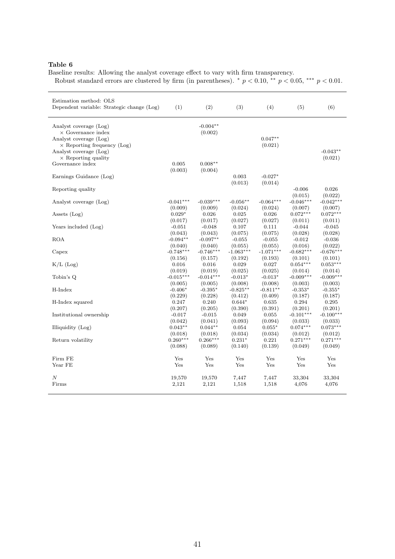<span id="page-41-0"></span>Baseline results: Allowing the analyst coverage effect to vary with firm transparency. Robust standard errors are clustered by firm (in parentheses).  $*$  p < 0.10,  $*$ <sup>\*</sup> p < 0.05, \*\*\* p < 0.01.

| Estimation method: OLS<br>Dependent variable: Strategic change (Log) | (1)         | (2)         | (3)         | (4)         | (5)         | (6)         |
|----------------------------------------------------------------------|-------------|-------------|-------------|-------------|-------------|-------------|
| Analyst coverage (Log)                                               |             | $-0.004**$  |             |             |             |             |
| $\times$ Governance index                                            |             | (0.002)     |             |             |             |             |
| Analyst coverage (Log)                                               |             |             |             | $0.047**$   |             |             |
| $\times$ Reporting frequency (Log)                                   |             |             |             | (0.021)     |             |             |
| Analyst coverage (Log)                                               |             |             |             |             |             | $-0.043**$  |
| $\times$ Reporting quality                                           |             |             |             |             |             | (0.021)     |
| Governance index                                                     | 0.005       | $0.008**$   |             |             |             |             |
|                                                                      | (0.003)     | (0.004)     |             |             |             |             |
| Earnings Guidance (Log)                                              |             |             | 0.003       | $-0.027*$   |             |             |
|                                                                      |             |             | (0.013)     | (0.014)     |             |             |
| Reporting quality                                                    |             |             |             |             | $-0.006$    | 0.026       |
|                                                                      |             |             |             |             | (0.015)     | (0.022)     |
| Analyst coverage (Log)                                               | $-0.041***$ | $-0.039***$ | $-0.056**$  | $-0.064***$ | $-0.046***$ | $-0.042***$ |
|                                                                      | (0.009)     | (0.009)     | (0.024)     | (0.024)     | (0.007)     | (0.007)     |
| Assets $(Log)$                                                       | $0.029*$    | 0.026       | 0.025       | 0.026       | $0.072***$  | $0.072***$  |
|                                                                      | (0.017)     | (0.017)     | (0.027)     | (0.027)     | (0.011)     | (0.011)     |
| Years included (Log)                                                 | $-0.051$    | $-0.048$    | 0.107       | 0.111       | $-0.044$    | $-0.045$    |
|                                                                      | (0.043)     | (0.043)     | (0.075)     | (0.075)     | (0.028)     | (0.028)     |
| <b>ROA</b>                                                           | $-0.094**$  | $-0.097**$  | $-0.055$    | $-0.055$    | $-0.012$    | $-0.036$    |
|                                                                      | (0.040)     | (0.040)     | (0.055)     | (0.055)     | (0.016)     | (0.022)     |
| Capex                                                                | $-0.748***$ | $-0.746***$ | $-1.063***$ | $-1.071***$ | $-0.682***$ | $-0.676***$ |
|                                                                      | (0.156)     | (0.157)     | (0.192)     | (0.193)     | (0.101)     | (0.101)     |
| $K/L$ (Log)                                                          | 0.016       | 0.016       | 0.029       | 0.027       | $0.054***$  | $0.053***$  |
|                                                                      | (0.019)     | (0.019)     | (0.025)     | (0.025)     | (0.014)     | (0.014)     |
| Tobin's Q                                                            | $-0.015***$ | $-0.014***$ | $-0.013*$   | $-0.013*$   | $-0.009***$ | $-0.009***$ |
|                                                                      | (0.005)     | (0.005)     | (0.008)     | (0.008)     | (0.003)     | (0.003)     |
| H-Index                                                              | $-0.406*$   | $-0.395*$   | $-0.825**$  | $-0.811**$  | $-0.353*$   | $-0.355*$   |
|                                                                      | (0.229)     | (0.228)     | (0.412)     | (0.409)     | (0.187)     | (0.187)     |
| H-Index squared                                                      | 0.247       | 0.240       | $0.644*$    | 0.635       | 0.294       | 0.295       |
|                                                                      | (0.207)     | (0.205)     | (0.390)     | (0.391)     | (0.201)     | (0.201)     |
| Institutional ownership                                              | $-0.017$    | $-0.015$    | 0.049       | 0.055       | $-0.101***$ | $-0.100***$ |
|                                                                      | (0.042)     | (0.041)     | (0.093)     | (0.094)     | (0.033)     | (0.033)     |
| Illiquidity (Log)                                                    | $0.043**$   | $0.044**$   | 0.054       | $0.055*$    | $0.074***$  | $0.073***$  |
|                                                                      | (0.018)     | (0.018)     | (0.034)     | (0.034)     | (0.012)     | (0.012)     |
| Return volatility                                                    | $0.260***$  | $0.266***$  | $0.231*$    | 0.221       | $0.271***$  | $0.271***$  |
|                                                                      | (0.088)     | (0.089)     | (0.140)     | (0.139)     | (0.049)     | (0.049)     |
|                                                                      |             |             |             |             |             |             |
| Firm FE                                                              | Yes         | Yes         | Yes         | Yes         | Yes         | Yes         |
| Year FE                                                              | Yes         | Yes         | Yes         | Yes         | Yes         | Yes         |
| $\boldsymbol{N}$                                                     | 19,570      | 19,570      | 7,447       | 7,447       | 33,304      | 33,304      |
| Firms                                                                | 2,121       | 2,121       | 1,518       | 1,518       | 4,076       | 4,076       |
|                                                                      |             |             |             |             |             |             |